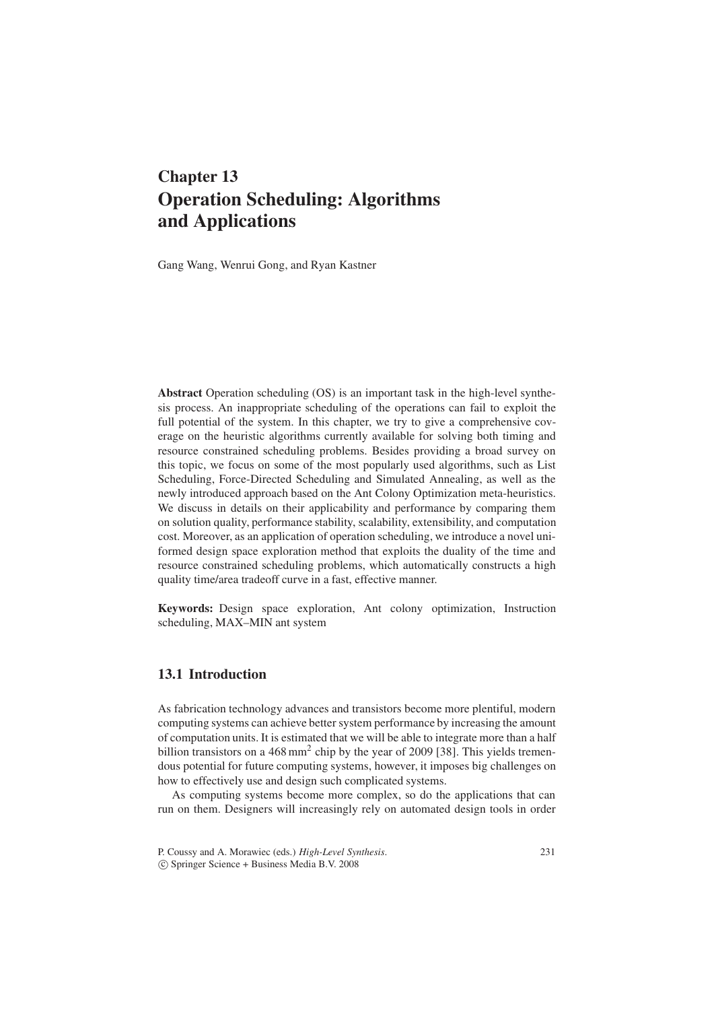# **Chapter 13 Operation Scheduling: Algorithms and Applications**

Gang Wang, Wenrui Gong, and Ryan Kastner

**Abstract** Operation scheduling (OS) is an important task in the high-level synthesis process. An inappropriate scheduling of the operations can fail to exploit the full potential of the system. In this chapter, we try to give a comprehensive coverage on the heuristic algorithms currently available for solving both timing and resource constrained scheduling problems. Besides providing a broad survey on this topic, we focus on some of the most popularly used algorithms, such as List Scheduling, Force-Directed Scheduling and Simulated Annealing, as well as the newly introduced approach based on the Ant Colony Optimization meta-heuristics. We discuss in details on their applicability and performance by comparing them on solution quality, performance stability, scalability, extensibility, and computation cost. Moreover, as an application of operation scheduling, we introduce a novel uniformed design space exploration method that exploits the duality of the time and resource constrained scheduling problems, which automatically constructs a high quality time/area tradeoff curve in a fast, effective manner.

**Keywords:** Design space exploration, Ant colony optimization, Instruction scheduling, MAX–MIN ant system

# **13.1 Introduction**

As fabrication technology advances and transistors become more plentiful, modern computing systems can achieve better system performance by increasing the amount of computation units. It is estimated that we will be able to integrate more than a half billion transistors on a  $468 \text{ mm}^2$  chip by the year of 2009 [38]. This yields tremendous potential for future computing systems, however, it imposes big challenges on how to effectively use and design such complicated systems.

As computing systems become more complex, so do the applications that can run on them. Designers will increasingly rely on automated design tools in order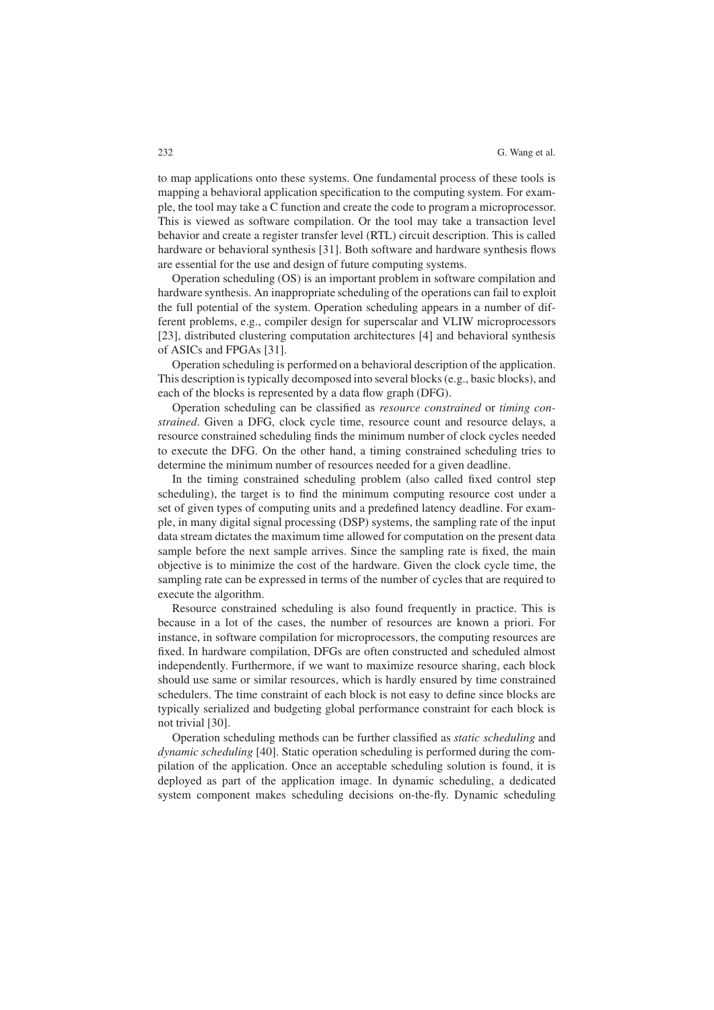to map applications onto these systems. One fundamental process of these tools is mapping a behavioral application specification to the computing system. For example, the tool may take a C function and create the code to program a microprocessor. This is viewed as software compilation. Or the tool may take a transaction level behavior and create a register transfer level (RTL) circuit description. This is called hardware or behavioral synthesis [31]. Both software and hardware synthesis flows are essential for the use and design of future computing systems.

Operation scheduling (OS) is an important problem in software compilation and hardware synthesis. An inappropriate scheduling of the operations can fail to exploit the full potential of the system. Operation scheduling appears in a number of different problems, e.g., compiler design for superscalar and VLIW microprocessors [23], distributed clustering computation architectures [4] and behavioral synthesis of ASICs and FPGAs [31].

Operation scheduling is performed on a behavioral description of the application. This description is typically decomposed into several blocks (e.g., basic blocks), and each of the blocks is represented by a data flow graph (DFG).

Operation scheduling can be classified as *resource constrained* or *timing constrained*. Given a DFG, clock cycle time, resource count and resource delays, a resource constrained scheduling finds the minimum number of clock cycles needed to execute the DFG. On the other hand, a timing constrained scheduling tries to determine the minimum number of resources needed for a given deadline.

In the timing constrained scheduling problem (also called fixed control step scheduling), the target is to find the minimum computing resource cost under a set of given types of computing units and a predefined latency deadline. For example, in many digital signal processing (DSP) systems, the sampling rate of the input data stream dictates the maximum time allowed for computation on the present data sample before the next sample arrives. Since the sampling rate is fixed, the main objective is to minimize the cost of the hardware. Given the clock cycle time, the sampling rate can be expressed in terms of the number of cycles that are required to execute the algorithm.

Resource constrained scheduling is also found frequently in practice. This is because in a lot of the cases, the number of resources are known a priori. For instance, in software compilation for microprocessors, the computing resources are fixed. In hardware compilation, DFGs are often constructed and scheduled almost independently. Furthermore, if we want to maximize resource sharing, each block should use same or similar resources, which is hardly ensured by time constrained schedulers. The time constraint of each block is not easy to define since blocks are typically serialized and budgeting global performance constraint for each block is not trivial [30].

Operation scheduling methods can be further classified as *static scheduling* and *dynamic scheduling* [40]. Static operation scheduling is performed during the compilation of the application. Once an acceptable scheduling solution is found, it is deployed as part of the application image. In dynamic scheduling, a dedicated system component makes scheduling decisions on-the-fly. Dynamic scheduling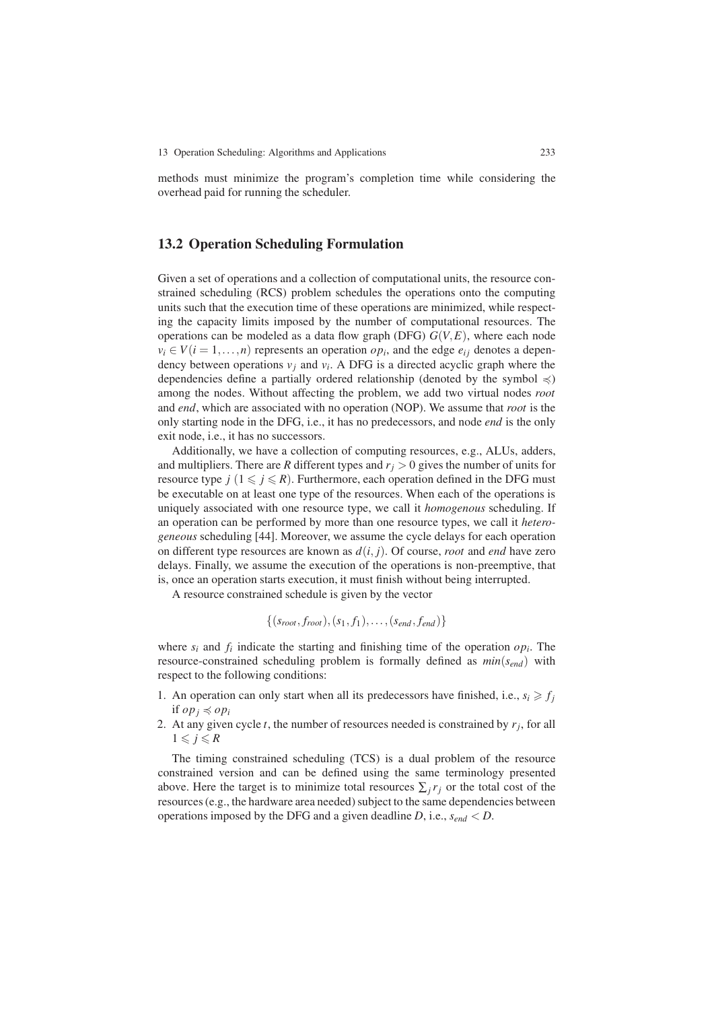methods must minimize the program's completion time while considering the overhead paid for running the scheduler.

#### **13.2 Operation Scheduling Formulation**

Given a set of operations and a collection of computational units, the resource constrained scheduling (RCS) problem schedules the operations onto the computing units such that the execution time of these operations are minimized, while respecting the capacity limits imposed by the number of computational resources. The operations can be modeled as a data flow graph (DFG)  $G(V,E)$ , where each node  $v_i \in V(i = 1, \ldots, n)$  represents an operation  $op_i$ , and the edge  $e_{ij}$  denotes a dependency between operations  $v_i$  and  $v_i$ . A DFG is a directed acyclic graph where the dependencies define a partially ordered relationship (denoted by the symbol  $\preccurlyeq$ ) among the nodes. Without affecting the problem, we add two virtual nodes *root* and *end*, which are associated with no operation (NOP). We assume that *root* is the only starting node in the DFG, i.e., it has no predecessors, and node *end* is the only exit node, i.e., it has no successors.

Additionally, we have a collection of computing resources, e.g., ALUs, adders, and multipliers. There are *R* different types and  $r<sub>i</sub> > 0$  gives the number of units for resource type  $j$  ( $1 \leq j \leq R$ ). Furthermore, each operation defined in the DFG must be executable on at least one type of the resources. When each of the operations is uniquely associated with one resource type, we call it *homogenous* scheduling. If an operation can be performed by more than one resource types, we call it *heterogeneous* scheduling [44]. Moreover, we assume the cycle delays for each operation on different type resources are known as  $d(i, j)$ . Of course, *root* and *end* have zero delays. Finally, we assume the execution of the operations is non-preemptive, that is, once an operation starts execution, it must finish without being interrupted.

A resource constrained schedule is given by the vector

$$
\{(s_{root}, f_{root}), (s_1, f_1), \ldots, (s_{end}, f_{end})\}
$$

where  $s_i$  and  $f_i$  indicate the starting and finishing time of the operation  $op_i$ . The resource-constrained scheduling problem is formally defined as *min*(*send*) with respect to the following conditions:

- 1. An operation can only start when all its predecessors have finished, i.e.,  $s_i \geq f_j$ if  $op_i \preccurlyeq op_i$
- 2. At any given cycle  $t$ , the number of resources needed is constrained by  $r_j$ , for all  $1 \leqslant j \leqslant R$

The timing constrained scheduling (TCS) is a dual problem of the resource constrained version and can be defined using the same terminology presented above. Here the target is to minimize total resources  $\sum_j r_j$  or the total cost of the resources (e.g., the hardware area needed) subject to the same dependencies between operations imposed by the DFG and a given deadline *D*, i.e., *send* < *D*.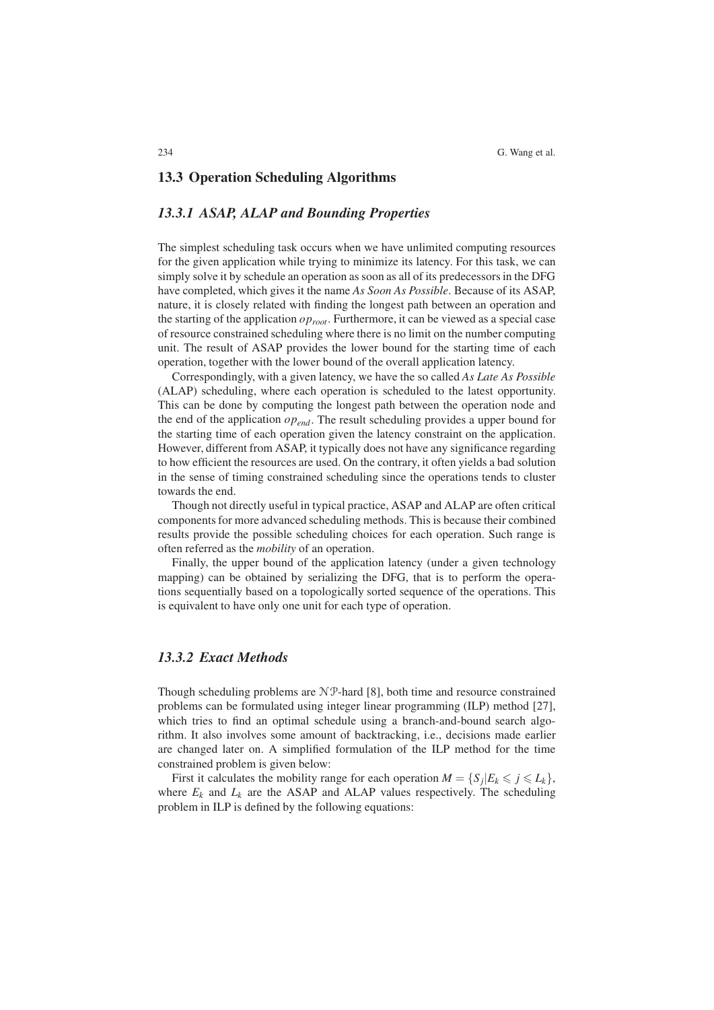### **13.3 Operation Scheduling Algorithms**

### *13.3.1 ASAP, ALAP and Bounding Properties*

The simplest scheduling task occurs when we have unlimited computing resources for the given application while trying to minimize its latency. For this task, we can simply solve it by schedule an operation as soon as all of its predecessors in the DFG have completed, which gives it the name *As Soon As Possible*. Because of its ASAP, nature, it is closely related with finding the longest path between an operation and the starting of the application *oproot*. Furthermore, it can be viewed as a special case of resource constrained scheduling where there is no limit on the number computing unit. The result of ASAP provides the lower bound for the starting time of each operation, together with the lower bound of the overall application latency.

Correspondingly, with a given latency, we have the so called *As Late As Possible* (ALAP) scheduling, where each operation is scheduled to the latest opportunity. This can be done by computing the longest path between the operation node and the end of the application  $op_{end}$ . The result scheduling provides a upper bound for the starting time of each operation given the latency constraint on the application. However, different from ASAP, it typically does not have any significance regarding to how efficient the resources are used. On the contrary, it often yields a bad solution in the sense of timing constrained scheduling since the operations tends to cluster towards the end.

Though not directly useful in typical practice, ASAP and ALAP are often critical components for more advanced scheduling methods. This is because their combined results provide the possible scheduling choices for each operation. Such range is often referred as the *mobility* of an operation.

Finally, the upper bound of the application latency (under a given technology mapping) can be obtained by serializing the DFG, that is to perform the operations sequentially based on a topologically sorted sequence of the operations. This is equivalent to have only one unit for each type of operation.

## *13.3.2 Exact Methods*

Though scheduling problems are NP-hard [8], both time and resource constrained problems can be formulated using integer linear programming (ILP) method [27], which tries to find an optimal schedule using a branch-and-bound search algorithm. It also involves some amount of backtracking, i.e., decisions made earlier are changed later on. A simplified formulation of the ILP method for the time constrained problem is given below:

First it calculates the mobility range for each operation  $M = \{S_i | E_k \leq j \leq L_k\},\$ where  $E_k$  and  $L_k$  are the ASAP and ALAP values respectively. The scheduling problem in ILP is defined by the following equations: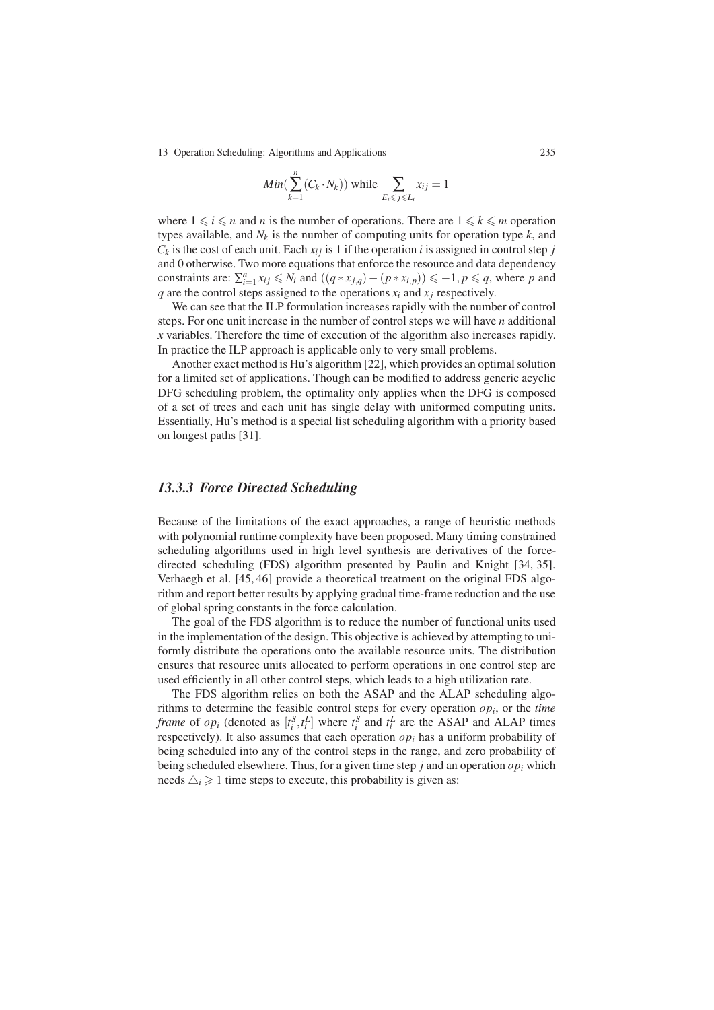13 Operation Scheduling: Algorithms and Applications 235

$$
Min(\sum_{k=1}^{n} (C_k \cdot N_k)) \text{ while } \sum_{E_i \le j \le L_i} x_{ij} = 1
$$

where  $1 \leq i \leq n$  and *n* is the number of operations. There are  $1 \leq k \leq m$  operation types available, and  $N_k$  is the number of computing units for operation type  $k$ , and  $C_k$  is the cost of each unit. Each  $x_{ij}$  is 1 if the operation *i* is assigned in control step *j* and 0 otherwise. Two more equations that enforce the resource and data dependency constraints are:  $\sum_{i=1}^{n} x_{ij} \leq N_i$  and  $((q * x_{j,q}) - (p * x_{i,p})) \leq -1, p \leq q$ , where *p* and *q* are the control steps assigned to the operations  $x_i$  and  $x_j$  respectively.

We can see that the ILP formulation increases rapidly with the number of control steps. For one unit increase in the number of control steps we will have *n* additional *x* variables. Therefore the time of execution of the algorithm also increases rapidly. In practice the ILP approach is applicable only to very small problems.

Another exact method is Hu's algorithm [22], which provides an optimal solution for a limited set of applications. Though can be modified to address generic acyclic DFG scheduling problem, the optimality only applies when the DFG is composed of a set of trees and each unit has single delay with uniformed computing units. Essentially, Hu's method is a special list scheduling algorithm with a priority based on longest paths [31].

#### *13.3.3 Force Directed Scheduling*

Because of the limitations of the exact approaches, a range of heuristic methods with polynomial runtime complexity have been proposed. Many timing constrained scheduling algorithms used in high level synthesis are derivatives of the forcedirected scheduling (FDS) algorithm presented by Paulin and Knight [34, 35]. Verhaegh et al. [45, 46] provide a theoretical treatment on the original FDS algorithm and report better results by applying gradual time-frame reduction and the use of global spring constants in the force calculation.

The goal of the FDS algorithm is to reduce the number of functional units used in the implementation of the design. This objective is achieved by attempting to uniformly distribute the operations onto the available resource units. The distribution ensures that resource units allocated to perform operations in one control step are used efficiently in all other control steps, which leads to a high utilization rate.

The FDS algorithm relies on both the ASAP and the ALAP scheduling algorithms to determine the feasible control steps for every operation  $op_i$ , or the *time frame* of  $op_i$  (denoted as  $[t_i^S, t_i^L]$  where  $t_i^S$  and  $t_i^L$  are the ASAP and ALAP times respectively). It also assumes that each operation  $op<sub>i</sub>$  has a uniform probability of being scheduled into any of the control steps in the range, and zero probability of being scheduled elsewhere. Thus, for a given time step  $j$  and an operation  $\overline{op_i}$  which needs  $\Delta_i \geq 1$  time steps to execute, this probability is given as: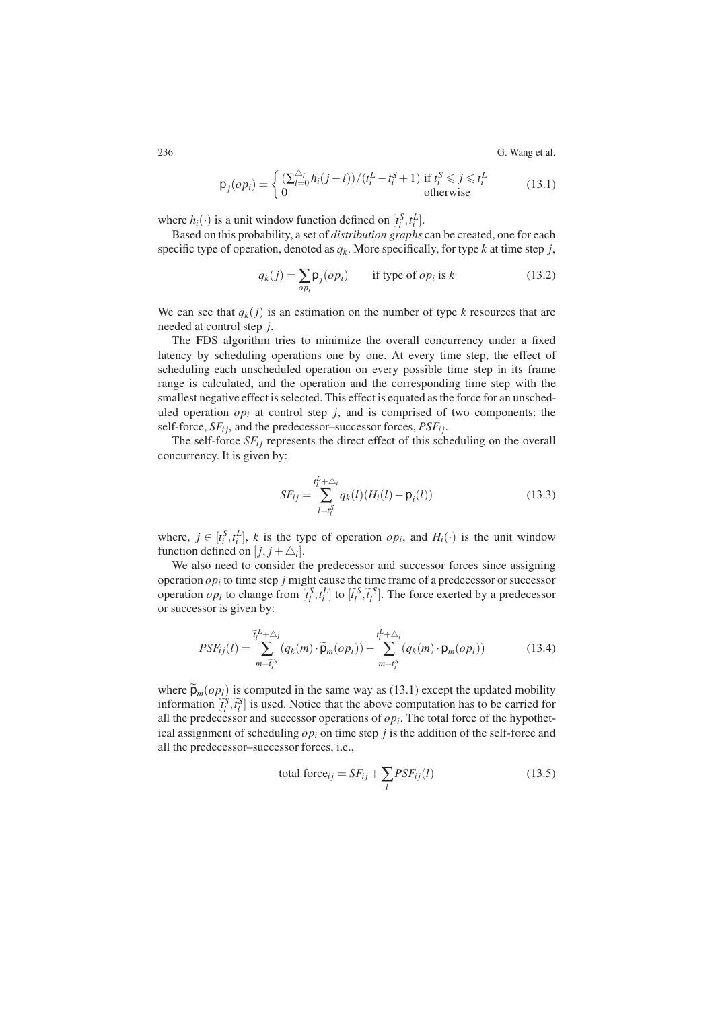236 G. Wang et al.

$$
\mathsf{p}_j(op_i) = \begin{cases}\n(\sum_{l=0}^{\Delta_i} h_i(j-l))/(t_i^L - t_i^S + 1) & \text{if } t_i^S \leq j \leq t_i^L \\
0 & \text{otherwise}\n\end{cases}\n\tag{13.1}
$$

where  $h_i(\cdot)$  is a unit window function defined on  $[t_i^S, t_i^L]$ .

Based on this probability, a set of *distribution graphs* can be created, one for each specific type of operation, denoted as  $q_k$ . More specifically, for type *k* at time step *j*,

$$
q_k(j) = \sum_{op_i} \mathsf{p}_j(op_i) \qquad \text{if type of } op_i \text{ is } k \tag{13.2}
$$

We can see that  $q_k(i)$  is an estimation on the number of type k resources that are needed at control step *j*.

The FDS algorithm tries to minimize the overall concurrency under a fixed latency by scheduling operations one by one. At every time step, the effect of scheduling each unscheduled operation on every possible time step in its frame range is calculated, and the operation and the corresponding time step with the smallest negative effect is selected. This effect is equated as the force for an unscheduled operation  $op_i$  at control step *j*, and is comprised of two components: the self-force,  $SF_{ij}$ , and the predecessor–successor forces,  $PSF_{ij}$ .

The self-force  $SF_{ij}$  represents the direct effect of this scheduling on the overall concurrency. It is given by:

$$
SF_{ij} = \sum_{l=t_i^S}^{t_i^L + \triangle_i} q_k(l) (H_i(l) - \mathsf{p}_i(l))
$$
\n(13.3)

where,  $j \in [t_i^S, t_i^L]$ , *k* is the type of operation  $op_i$ , and  $H_i(\cdot)$  is the unit window function defined on  $[i, j + \Delta_i]$ .

We also need to consider the predecessor and successor forces since assigning operation  $op_i$  to time step  $j$  might cause the time frame of a predecessor or successor operation  $op_l$  to change from  $[t_l^S, t_l^L]$  to  $[\tilde{t}_l^S, \tilde{t}_l^S]$ . The force exerted by a predecessor or successor is given by:

$$
PSF_{ij}(l) = \sum_{m=\tilde{t}_i^S}^{\tilde{t}_i^L + \triangle_l} (q_k(m) \cdot \tilde{\mathbf{p}}_m(op_l)) - \sum_{m=t_i^S}^{t_i^L + \triangle_l} (q_k(m) \cdot \mathbf{p}_m(op_l)) \tag{13.4}
$$

where  $\tilde{p}_m(op_l)$  is computed in the same way as (13.1) except the updated mobility information  $[\tilde{t}_l^S, \tilde{t}_l^S]$  is used. Notice that the above computation has to be carried for all the predecessor and successor operations of  $op_i$ . The total force of the hypothetical assignment of scheduling  $op_i$  on time step *j* is the addition of the self-force and all the predecessor–successor forces, i.e.,

total force<sub>ij</sub> = 
$$
SF_{ij} + \sum_{l} PSF_{ij}(l)
$$
 (13.5)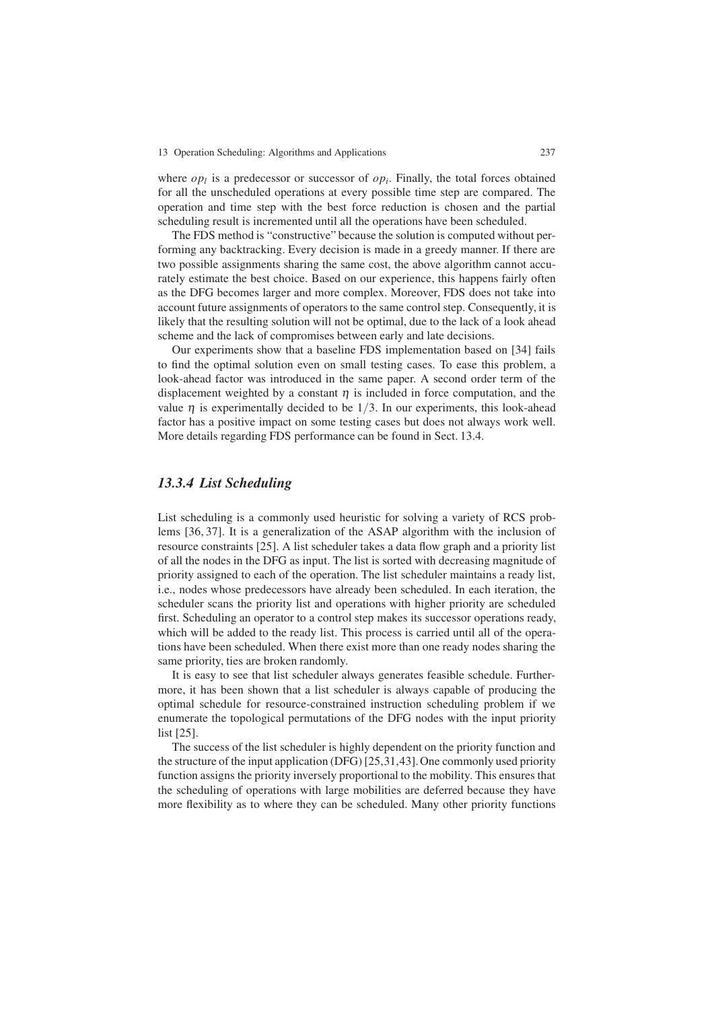where  $op_l$  is a predecessor or successor of  $op_i$ . Finally, the total forces obtained for all the unscheduled operations at every possible time step are compared. The operation and time step with the best force reduction is chosen and the partial scheduling result is incremented until all the operations have been scheduled.

The FDS method is "constructive" because the solution is computed without performing any backtracking. Every decision is made in a greedy manner. If there are two possible assignments sharing the same cost, the above algorithm cannot accurately estimate the best choice. Based on our experience, this happens fairly often as the DFG becomes larger and more complex. Moreover, FDS does not take into account future assignments of operators to the same control step. Consequently, it is likely that the resulting solution will not be optimal, due to the lack of a look ahead scheme and the lack of compromises between early and late decisions.

Our experiments show that a baseline FDS implementation based on [34] fails to find the optimal solution even on small testing cases. To ease this problem, a look-ahead factor was introduced in the same paper. A second order term of the displacement weighted by a constant  $\eta$  is included in force computation, and the value  $\eta$  is experimentally decided to be 1/3. In our experiments, this look-ahead factor has a positive impact on some testing cases but does not always work well. More details regarding FDS performance can be found in Sect. 13.4.

#### *13.3.4 List Scheduling*

List scheduling is a commonly used heuristic for solving a variety of RCS problems [36, 37]. It is a generalization of the ASAP algorithm with the inclusion of resource constraints [25]. A list scheduler takes a data flow graph and a priority list of all the nodes in the DFG as input. The list is sorted with decreasing magnitude of priority assigned to each of the operation. The list scheduler maintains a ready list, i.e., nodes whose predecessors have already been scheduled. In each iteration, the scheduler scans the priority list and operations with higher priority are scheduled first. Scheduling an operator to a control step makes its successor operations ready, which will be added to the ready list. This process is carried until all of the operations have been scheduled. When there exist more than one ready nodes sharing the same priority, ties are broken randomly.

It is easy to see that list scheduler always generates feasible schedule. Furthermore, it has been shown that a list scheduler is always capable of producing the optimal schedule for resource-constrained instruction scheduling problem if we enumerate the topological permutations of the DFG nodes with the input priority list [25].

The success of the list scheduler is highly dependent on the priority function and the structure of the input application (DFG) [25,31,43]. One commonly used priority function assigns the priority inversely proportional to the mobility. This ensures that the scheduling of operations with large mobilities are deferred because they have more flexibility as to where they can be scheduled. Many other priority functions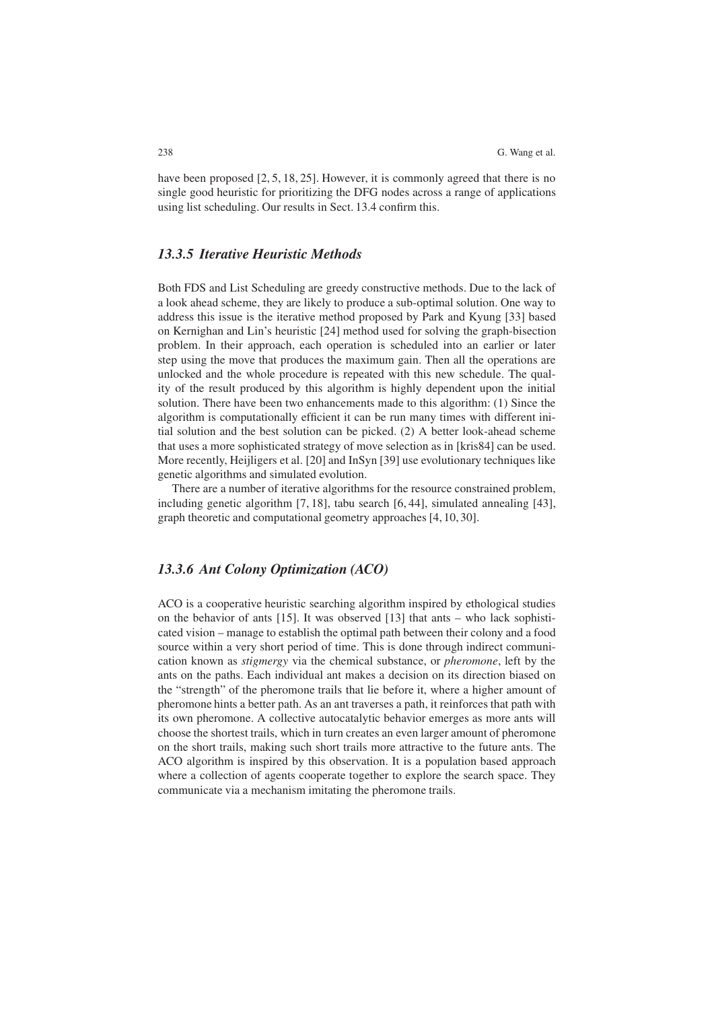have been proposed [2, 5, 18, 25]. However, it is commonly agreed that there is no single good heuristic for prioritizing the DFG nodes across a range of applications using list scheduling. Our results in Sect. 13.4 confirm this.

#### *13.3.5 Iterative Heuristic Methods*

Both FDS and List Scheduling are greedy constructive methods. Due to the lack of a look ahead scheme, they are likely to produce a sub-optimal solution. One way to address this issue is the iterative method proposed by Park and Kyung [33] based on Kernighan and Lin's heuristic [24] method used for solving the graph-bisection problem. In their approach, each operation is scheduled into an earlier or later step using the move that produces the maximum gain. Then all the operations are unlocked and the whole procedure is repeated with this new schedule. The quality of the result produced by this algorithm is highly dependent upon the initial solution. There have been two enhancements made to this algorithm: (1) Since the algorithm is computationally efficient it can be run many times with different initial solution and the best solution can be picked. (2) A better look-ahead scheme that uses a more sophisticated strategy of move selection as in [kris84] can be used. More recently, Heijligers et al. [20] and InSyn [39] use evolutionary techniques like genetic algorithms and simulated evolution.

There are a number of iterative algorithms for the resource constrained problem, including genetic algorithm [7, 18], tabu search [6, 44], simulated annealing [43], graph theoretic and computational geometry approaches [4, 10, 30].

#### *13.3.6 Ant Colony Optimization (ACO)*

ACO is a cooperative heuristic searching algorithm inspired by ethological studies on the behavior of ants [15]. It was observed [13] that ants – who lack sophisticated vision – manage to establish the optimal path between their colony and a food source within a very short period of time. This is done through indirect communication known as *stigmergy* via the chemical substance, or *pheromone*, left by the ants on the paths. Each individual ant makes a decision on its direction biased on the "strength" of the pheromone trails that lie before it, where a higher amount of pheromone hints a better path. As an ant traverses a path, it reinforces that path with its own pheromone. A collective autocatalytic behavior emerges as more ants will choose the shortest trails, which in turn creates an even larger amount of pheromone on the short trails, making such short trails more attractive to the future ants. The ACO algorithm is inspired by this observation. It is a population based approach where a collection of agents cooperate together to explore the search space. They communicate via a mechanism imitating the pheromone trails.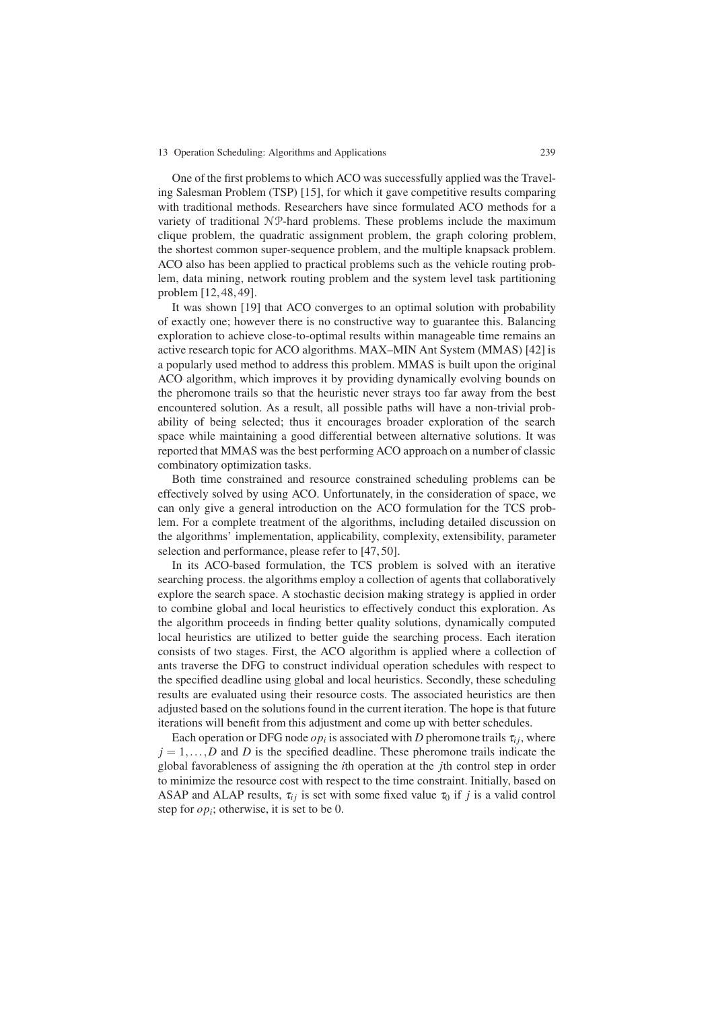One of the first problems to which ACO was successfully applied was the Traveling Salesman Problem (TSP) [15], for which it gave competitive results comparing with traditional methods. Researchers have since formulated ACO methods for a variety of traditional  $\mathcal{NP}$ -hard problems. These problems include the maximum clique problem, the quadratic assignment problem, the graph coloring problem, the shortest common super-sequence problem, and the multiple knapsack problem. ACO also has been applied to practical problems such as the vehicle routing problem, data mining, network routing problem and the system level task partitioning problem [12, 48, 49].

It was shown [19] that ACO converges to an optimal solution with probability of exactly one; however there is no constructive way to guarantee this. Balancing exploration to achieve close-to-optimal results within manageable time remains an active research topic for ACO algorithms. MAX–MIN Ant System (MMAS) [42] is a popularly used method to address this problem. MMAS is built upon the original ACO algorithm, which improves it by providing dynamically evolving bounds on the pheromone trails so that the heuristic never strays too far away from the best encountered solution. As a result, all possible paths will have a non-trivial probability of being selected; thus it encourages broader exploration of the search space while maintaining a good differential between alternative solutions. It was reported that MMAS was the best performing ACO approach on a number of classic combinatory optimization tasks.

Both time constrained and resource constrained scheduling problems can be effectively solved by using ACO. Unfortunately, in the consideration of space, we can only give a general introduction on the ACO formulation for the TCS problem. For a complete treatment of the algorithms, including detailed discussion on the algorithms' implementation, applicability, complexity, extensibility, parameter selection and performance, please refer to [47, 50].

In its ACO-based formulation, the TCS problem is solved with an iterative searching process. the algorithms employ a collection of agents that collaboratively explore the search space. A stochastic decision making strategy is applied in order to combine global and local heuristics to effectively conduct this exploration. As the algorithm proceeds in finding better quality solutions, dynamically computed local heuristics are utilized to better guide the searching process. Each iteration consists of two stages. First, the ACO algorithm is applied where a collection of ants traverse the DFG to construct individual operation schedules with respect to the specified deadline using global and local heuristics. Secondly, these scheduling results are evaluated using their resource costs. The associated heuristics are then adjusted based on the solutions found in the current iteration. The hope is that future iterations will benefit from this adjustment and come up with better schedules.

Each operation or DFG node  $op_i$  is associated with *D* pheromone trails  $\tau_{ii}$ , where  $j = 1, \ldots, D$  and *D* is the specified deadline. These pheromone trails indicate the global favorableness of assigning the *i*th operation at the *j*th control step in order to minimize the resource cost with respect to the time constraint. Initially, based on ASAP and ALAP results,  $\tau_{ii}$  is set with some fixed value  $\tau_0$  if *j* is a valid control step for *opi*; otherwise, it is set to be 0.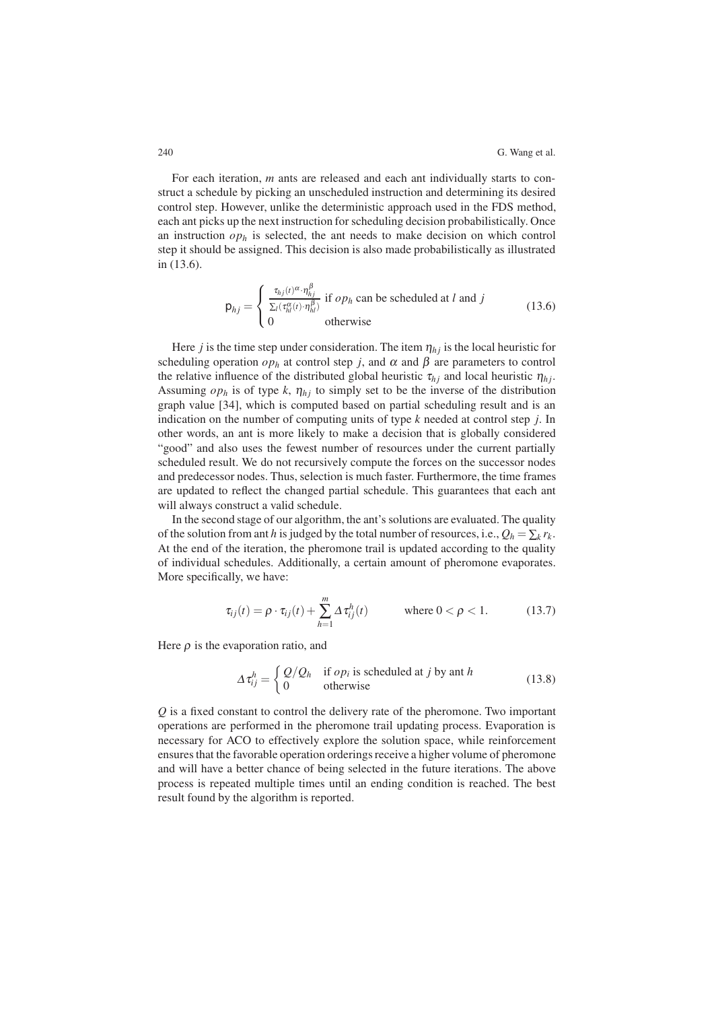For each iteration, *m* ants are released and each ant individually starts to construct a schedule by picking an unscheduled instruction and determining its desired control step. However, unlike the deterministic approach used in the FDS method, each ant picks up the next instruction for scheduling decision probabilistically. Once an instruction  $op<sub>h</sub>$  is selected, the ant needs to make decision on which control step it should be assigned. This decision is also made probabilistically as illustrated in (13.6).

$$
\mathsf{p}_{hj} = \begin{cases} \frac{\tau_{hj}(t)^{\alpha} \cdot \eta_{hj}^{\beta}}{\Sigma_l(\tau_{hl}^{\alpha}(t) \cdot \eta_{hl}^{\beta})} & \text{if } op_h \text{ can be scheduled at } l \text{ and } j\\ 0 & \text{otherwise} \end{cases}
$$
(13.6)

Here *j* is the time step under consideration. The item  $\eta_{hi}$  is the local heuristic for scheduling operation  $op_h$  at control step *j*, and  $\alpha$  and  $\beta$  are parameters to control the relative influence of the distributed global heuristic  $\tau_{hi}$  and local heuristic  $\eta_{hi}$ . Assuming  $op_h$  is of type k,  $\eta_{hi}$  to simply set to be the inverse of the distribution graph value [34], which is computed based on partial scheduling result and is an indication on the number of computing units of type *k* needed at control step *j*. In other words, an ant is more likely to make a decision that is globally considered "good" and also uses the fewest number of resources under the current partially scheduled result. We do not recursively compute the forces on the successor nodes and predecessor nodes. Thus, selection is much faster. Furthermore, the time frames are updated to reflect the changed partial schedule. This guarantees that each ant will always construct a valid schedule.

In the second stage of our algorithm, the ant's solutions are evaluated. The quality of the solution from ant *h* is judged by the total number of resources, i.e.,  $Q_h = \sum_k r_k$ . At the end of the iteration, the pheromone trail is updated according to the quality of individual schedules. Additionally, a certain amount of pheromone evaporates. More specifically, we have:

$$
\tau_{ij}(t) = \rho \cdot \tau_{ij}(t) + \sum_{h=1}^{m} \Delta \tau_{ij}^h(t) \quad \text{where } 0 < \rho < 1. \tag{13.7}
$$

Here  $\rho$  is the evaporation ratio, and

$$
\Delta \tau_{ij}^h = \begin{cases} Q/Q_h & \text{if } op_i \text{ is scheduled at } j \text{ by ant } h \\ 0 & \text{otherwise} \end{cases}
$$
 (13.8)

*Q* is a fixed constant to control the delivery rate of the pheromone. Two important operations are performed in the pheromone trail updating process. Evaporation is necessary for ACO to effectively explore the solution space, while reinforcement ensures that the favorable operation orderings receive a higher volume of pheromone and will have a better chance of being selected in the future iterations. The above process is repeated multiple times until an ending condition is reached. The best result found by the algorithm is reported.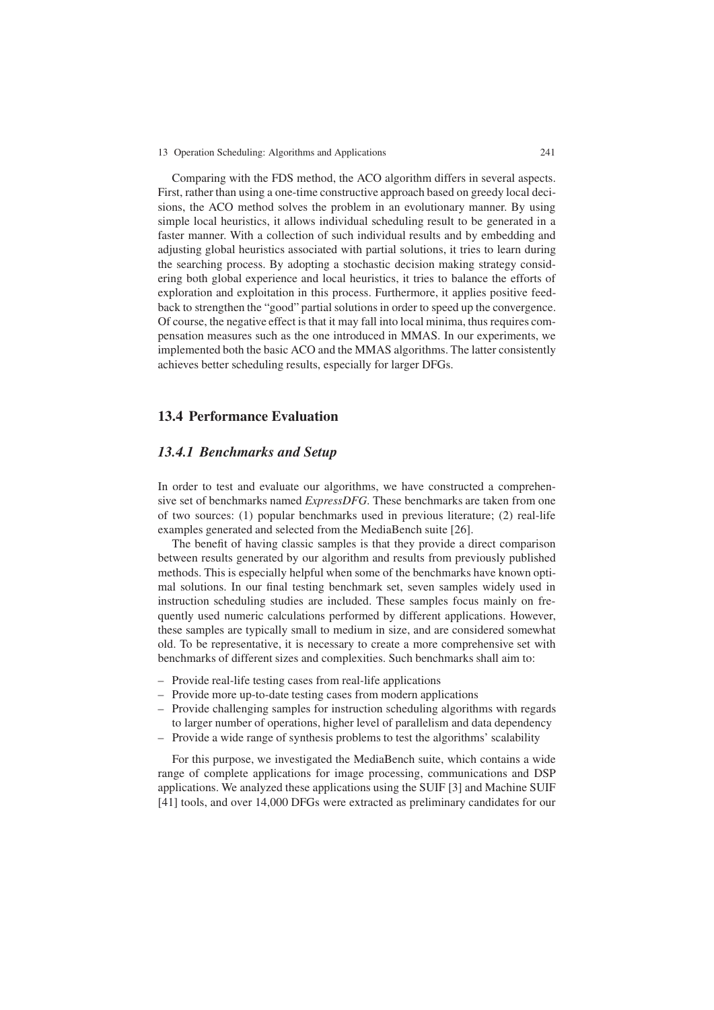Comparing with the FDS method, the ACO algorithm differs in several aspects. First, rather than using a one-time constructive approach based on greedy local decisions, the ACO method solves the problem in an evolutionary manner. By using simple local heuristics, it allows individual scheduling result to be generated in a faster manner. With a collection of such individual results and by embedding and adjusting global heuristics associated with partial solutions, it tries to learn during the searching process. By adopting a stochastic decision making strategy considering both global experience and local heuristics, it tries to balance the efforts of exploration and exploitation in this process. Furthermore, it applies positive feedback to strengthen the "good" partial solutions in order to speed up the convergence. Of course, the negative effect is that it may fall into local minima, thus requires compensation measures such as the one introduced in MMAS. In our experiments, we implemented both the basic ACO and the MMAS algorithms. The latter consistently achieves better scheduling results, especially for larger DFGs.

#### **13.4 Performance Evaluation**

#### *13.4.1 Benchmarks and Setup*

In order to test and evaluate our algorithms, we have constructed a comprehensive set of benchmarks named *ExpressDFG*. These benchmarks are taken from one of two sources: (1) popular benchmarks used in previous literature; (2) real-life examples generated and selected from the MediaBench suite [26].

The benefit of having classic samples is that they provide a direct comparison between results generated by our algorithm and results from previously published methods. This is especially helpful when some of the benchmarks have known optimal solutions. In our final testing benchmark set, seven samples widely used in instruction scheduling studies are included. These samples focus mainly on frequently used numeric calculations performed by different applications. However, these samples are typically small to medium in size, and are considered somewhat old. To be representative, it is necessary to create a more comprehensive set with benchmarks of different sizes and complexities. Such benchmarks shall aim to:

- Provide real-life testing cases from real-life applications
- Provide more up-to-date testing cases from modern applications
- Provide challenging samples for instruction scheduling algorithms with regards to larger number of operations, higher level of parallelism and data dependency
- Provide a wide range of synthesis problems to test the algorithms' scalability

For this purpose, we investigated the MediaBench suite, which contains a wide range of complete applications for image processing, communications and DSP applications. We analyzed these applications using the SUIF [3] and Machine SUIF [41] tools, and over 14,000 DFGs were extracted as preliminary candidates for our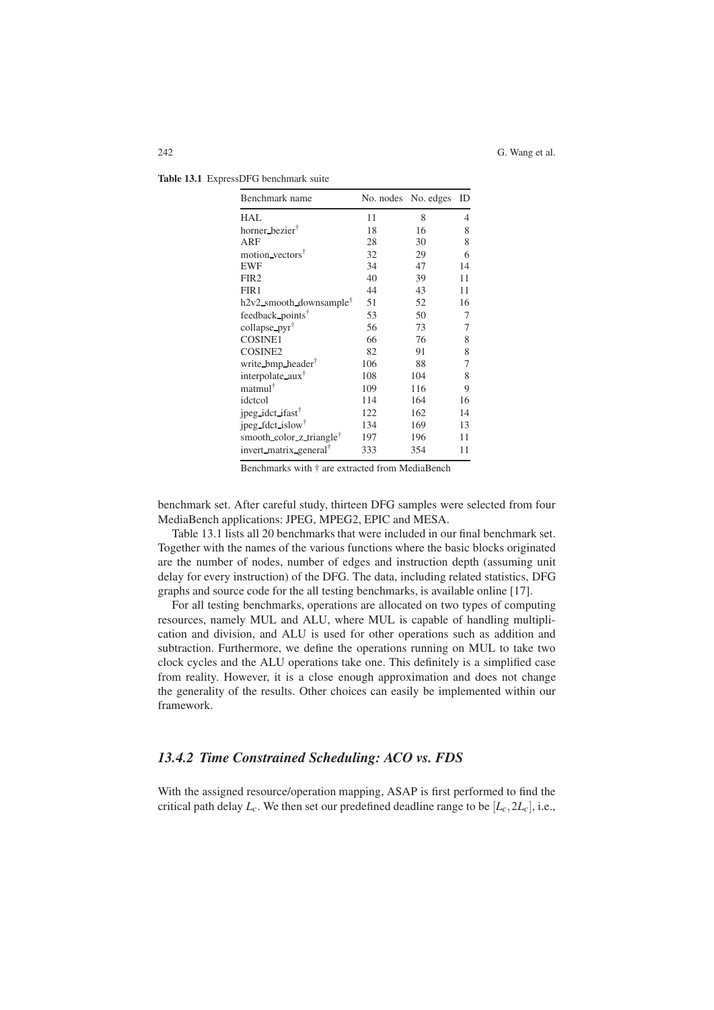| Benchmark name                       |     | No. nodes No. edges | ID |
|--------------------------------------|-----|---------------------|----|
| HAL                                  | 11  | 8                   | 4  |
| horner_bezier <sup>†</sup>           | 18  | 16                  | 8  |
| ARF                                  | 28  | 30                  | 8  |
| motion_vectors <sup>†</sup>          | 32  | 29                  | 6  |
| EWF                                  | 34  | 47                  | 14 |
| FIR <sub>2</sub>                     | 40  | 39                  | 11 |
| FIR1                                 | 44  | 43                  | 11 |
| h2v2_smooth_downsample <sup>†</sup>  | 51  | 52                  | 16 |
| feedback_points <sup>†</sup>         | 53  | 50                  | 7  |
| $collapse\_pyr^{\dagger}$            | 56  | 73                  | 7  |
| <b>COSINE1</b>                       | 66  | 76                  | 8  |
| COSINE <sub>2</sub>                  | 82  | 91                  | 8  |
| write_bmp_header <sup>†</sup>        | 106 | 88                  | 7  |
| interpolate_aux <sup>†</sup>         | 108 | 104                 | 8  |
| matmul <sup>†</sup>                  | 109 | 116                 | 9  |
| idctcol                              | 114 | 164                 | 16 |
| jpeg_idct_ifast <sup>†</sup>         | 122 | 162                 | 14 |
| jpeg_fdct_islow <sup>†</sup>         | 134 | 169                 | 13 |
| smooth_color_z_triangle <sup>†</sup> | 197 | 196                 | 11 |
| invert_matrix_general <sup>†</sup>   | 333 | 354                 | 11 |

**Table 13.1** ExpressDFG benchmark suite

Benchmarks with † are extracted from MediaBench

benchmark set. After careful study, thirteen DFG samples were selected from four MediaBench applications: JPEG, MPEG2, EPIC and MESA.

Table 13.1 lists all 20 benchmarks that were included in our final benchmark set. Together with the names of the various functions where the basic blocks originated are the number of nodes, number of edges and instruction depth (assuming unit delay for every instruction) of the DFG. The data, including related statistics, DFG graphs and source code for the all testing benchmarks, is available online [17].

For all testing benchmarks, operations are allocated on two types of computing resources, namely MUL and ALU, where MUL is capable of handling multiplication and division, and ALU is used for other operations such as addition and subtraction. Furthermore, we define the operations running on MUL to take two clock cycles and the ALU operations take one. This definitely is a simplified case from reality. However, it is a close enough approximation and does not change the generality of the results. Other choices can easily be implemented within our framework.

#### *13.4.2 Time Constrained Scheduling: ACO vs. FDS*

With the assigned resource/operation mapping, ASAP is first performed to find the critical path delay  $L_c$ . We then set our predefined deadline range to be  $[L_c, 2L_c]$ , i.e.,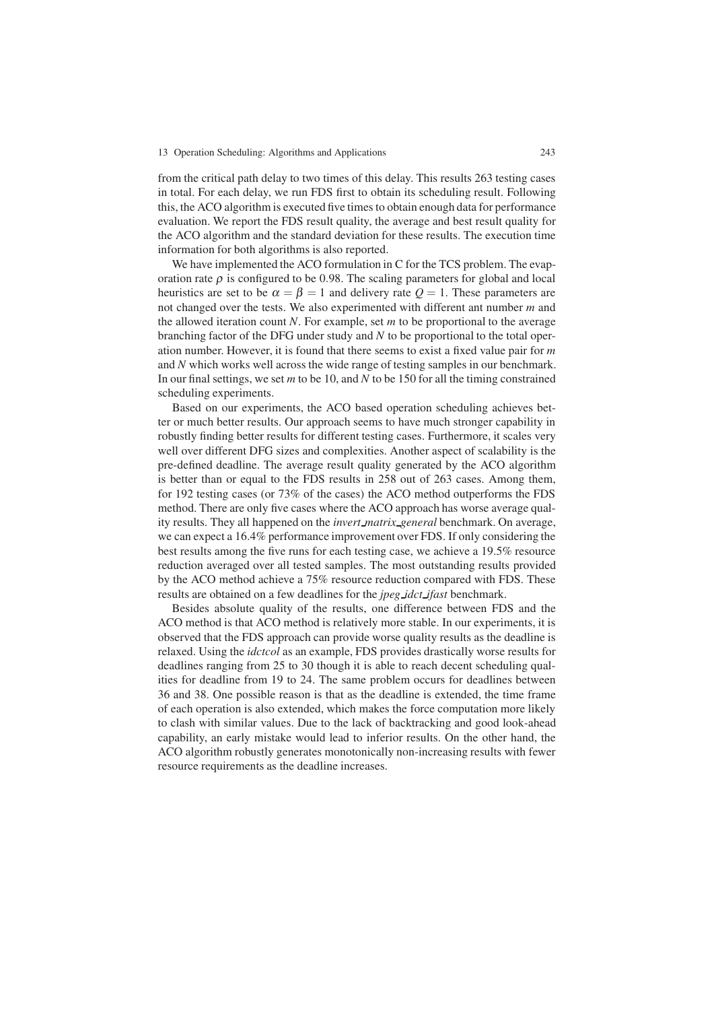from the critical path delay to two times of this delay. This results 263 testing cases in total. For each delay, we run FDS first to obtain its scheduling result. Following this, the ACO algorithm is executed five times to obtain enough data for performance evaluation. We report the FDS result quality, the average and best result quality for the ACO algorithm and the standard deviation for these results. The execution time information for both algorithms is also reported.

We have implemented the ACO formulation in C for the TCS problem. The evaporation rate  $\rho$  is configured to be 0.98. The scaling parameters for global and local heuristics are set to be  $\alpha = \beta = 1$  and delivery rate  $\alpha = 1$ . These parameters are not changed over the tests. We also experimented with different ant number *m* and the allowed iteration count *N*. For example, set *m* to be proportional to the average branching factor of the DFG under study and *N* to be proportional to the total operation number. However, it is found that there seems to exist a fixed value pair for *m* and *N* which works well across the wide range of testing samples in our benchmark. In our final settings, we set *m* to be 10, and *N* to be 150 for all the timing constrained scheduling experiments.

Based on our experiments, the ACO based operation scheduling achieves better or much better results. Our approach seems to have much stronger capability in robustly finding better results for different testing cases. Furthermore, it scales very well over different DFG sizes and complexities. Another aspect of scalability is the pre-defined deadline. The average result quality generated by the ACO algorithm is better than or equal to the FDS results in 258 out of 263 cases. Among them, for 192 testing cases (or 73% of the cases) the ACO method outperforms the FDS method. There are only five cases where the ACO approach has worse average quality results. They all happened on the *invert matrix general* benchmark. On average, we can expect a 16.4% performance improvement over FDS. If only considering the best results among the five runs for each testing case, we achieve a 19.5% resource reduction averaged over all tested samples. The most outstanding results provided by the ACO method achieve a 75% resource reduction compared with FDS. These results are obtained on a few deadlines for the *jpeg idct ifast* benchmark.

Besides absolute quality of the results, one difference between FDS and the ACO method is that ACO method is relatively more stable. In our experiments, it is observed that the FDS approach can provide worse quality results as the deadline is relaxed. Using the *idctcol* as an example, FDS provides drastically worse results for deadlines ranging from 25 to 30 though it is able to reach decent scheduling qualities for deadline from 19 to 24. The same problem occurs for deadlines between 36 and 38. One possible reason is that as the deadline is extended, the time frame of each operation is also extended, which makes the force computation more likely to clash with similar values. Due to the lack of backtracking and good look-ahead capability, an early mistake would lead to inferior results. On the other hand, the ACO algorithm robustly generates monotonically non-increasing results with fewer resource requirements as the deadline increases.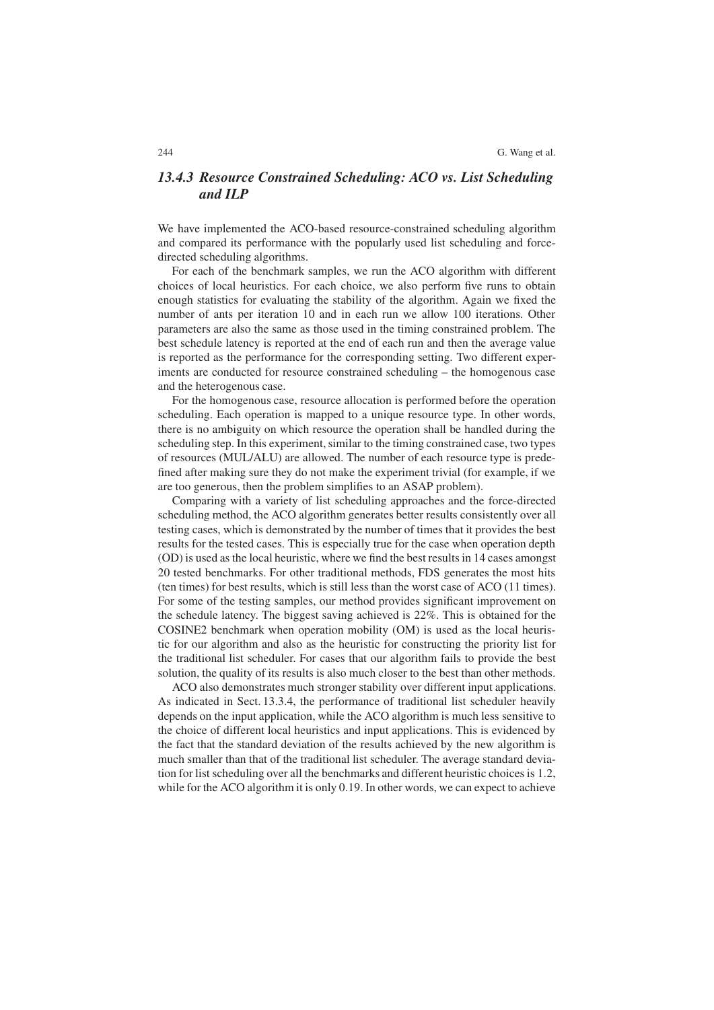# *13.4.3 Resource Constrained Scheduling: ACO vs. List Scheduling and ILP*

We have implemented the ACO-based resource-constrained scheduling algorithm and compared its performance with the popularly used list scheduling and forcedirected scheduling algorithms.

For each of the benchmark samples, we run the ACO algorithm with different choices of local heuristics. For each choice, we also perform five runs to obtain enough statistics for evaluating the stability of the algorithm. Again we fixed the number of ants per iteration 10 and in each run we allow 100 iterations. Other parameters are also the same as those used in the timing constrained problem. The best schedule latency is reported at the end of each run and then the average value is reported as the performance for the corresponding setting. Two different experiments are conducted for resource constrained scheduling – the homogenous case and the heterogenous case.

For the homogenous case, resource allocation is performed before the operation scheduling. Each operation is mapped to a unique resource type. In other words, there is no ambiguity on which resource the operation shall be handled during the scheduling step. In this experiment, similar to the timing constrained case, two types of resources (MUL/ALU) are allowed. The number of each resource type is predefined after making sure they do not make the experiment trivial (for example, if we are too generous, then the problem simplifies to an ASAP problem).

Comparing with a variety of list scheduling approaches and the force-directed scheduling method, the ACO algorithm generates better results consistently over all testing cases, which is demonstrated by the number of times that it provides the best results for the tested cases. This is especially true for the case when operation depth (OD) is used as the local heuristic, where we find the best results in 14 cases amongst 20 tested benchmarks. For other traditional methods, FDS generates the most hits (ten times) for best results, which is still less than the worst case of ACO (11 times). For some of the testing samples, our method provides significant improvement on the schedule latency. The biggest saving achieved is 22%. This is obtained for the COSINE2 benchmark when operation mobility (OM) is used as the local heuristic for our algorithm and also as the heuristic for constructing the priority list for the traditional list scheduler. For cases that our algorithm fails to provide the best solution, the quality of its results is also much closer to the best than other methods.

ACO also demonstrates much stronger stability over different input applications. As indicated in Sect. 13.3.4, the performance of traditional list scheduler heavily depends on the input application, while the ACO algorithm is much less sensitive to the choice of different local heuristics and input applications. This is evidenced by the fact that the standard deviation of the results achieved by the new algorithm is much smaller than that of the traditional list scheduler. The average standard deviation for list scheduling over all the benchmarks and different heuristic choices is 1.2, while for the ACO algorithm it is only 0.19. In other words, we can expect to achieve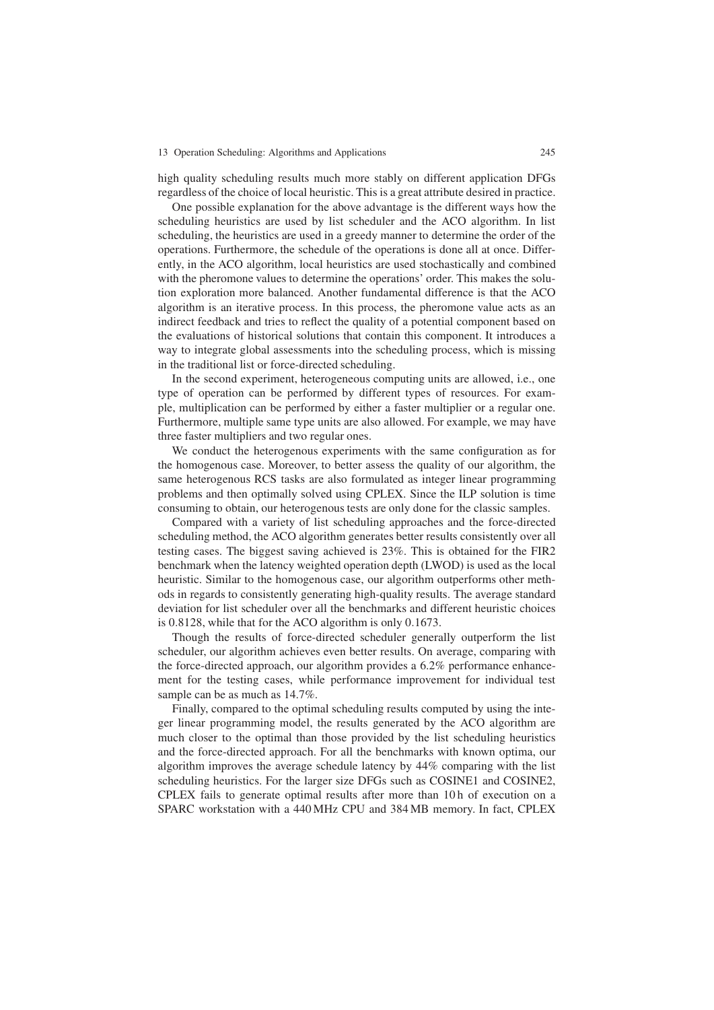high quality scheduling results much more stably on different application DFGs regardless of the choice of local heuristic. This is a great attribute desired in practice.

One possible explanation for the above advantage is the different ways how the scheduling heuristics are used by list scheduler and the ACO algorithm. In list scheduling, the heuristics are used in a greedy manner to determine the order of the operations. Furthermore, the schedule of the operations is done all at once. Differently, in the ACO algorithm, local heuristics are used stochastically and combined with the pheromone values to determine the operations' order. This makes the solution exploration more balanced. Another fundamental difference is that the ACO algorithm is an iterative process. In this process, the pheromone value acts as an indirect feedback and tries to reflect the quality of a potential component based on the evaluations of historical solutions that contain this component. It introduces a way to integrate global assessments into the scheduling process, which is missing in the traditional list or force-directed scheduling.

In the second experiment, heterogeneous computing units are allowed, i.e., one type of operation can be performed by different types of resources. For example, multiplication can be performed by either a faster multiplier or a regular one. Furthermore, multiple same type units are also allowed. For example, we may have three faster multipliers and two regular ones.

We conduct the heterogenous experiments with the same configuration as for the homogenous case. Moreover, to better assess the quality of our algorithm, the same heterogenous RCS tasks are also formulated as integer linear programming problems and then optimally solved using CPLEX. Since the ILP solution is time consuming to obtain, our heterogenous tests are only done for the classic samples.

Compared with a variety of list scheduling approaches and the force-directed scheduling method, the ACO algorithm generates better results consistently over all testing cases. The biggest saving achieved is 23%. This is obtained for the FIR2 benchmark when the latency weighted operation depth (LWOD) is used as the local heuristic. Similar to the homogenous case, our algorithm outperforms other methods in regards to consistently generating high-quality results. The average standard deviation for list scheduler over all the benchmarks and different heuristic choices is 0.8128, while that for the ACO algorithm is only 0.1673.

Though the results of force-directed scheduler generally outperform the list scheduler, our algorithm achieves even better results. On average, comparing with the force-directed approach, our algorithm provides a 6.2% performance enhancement for the testing cases, while performance improvement for individual test sample can be as much as 14.7%.

Finally, compared to the optimal scheduling results computed by using the integer linear programming model, the results generated by the ACO algorithm are much closer to the optimal than those provided by the list scheduling heuristics and the force-directed approach. For all the benchmarks with known optima, our algorithm improves the average schedule latency by 44% comparing with the list scheduling heuristics. For the larger size DFGs such as COSINE1 and COSINE2, CPLEX fails to generate optimal results after more than 10 h of execution on a SPARC workstation with a 440 MHz CPU and 384 MB memory. In fact, CPLEX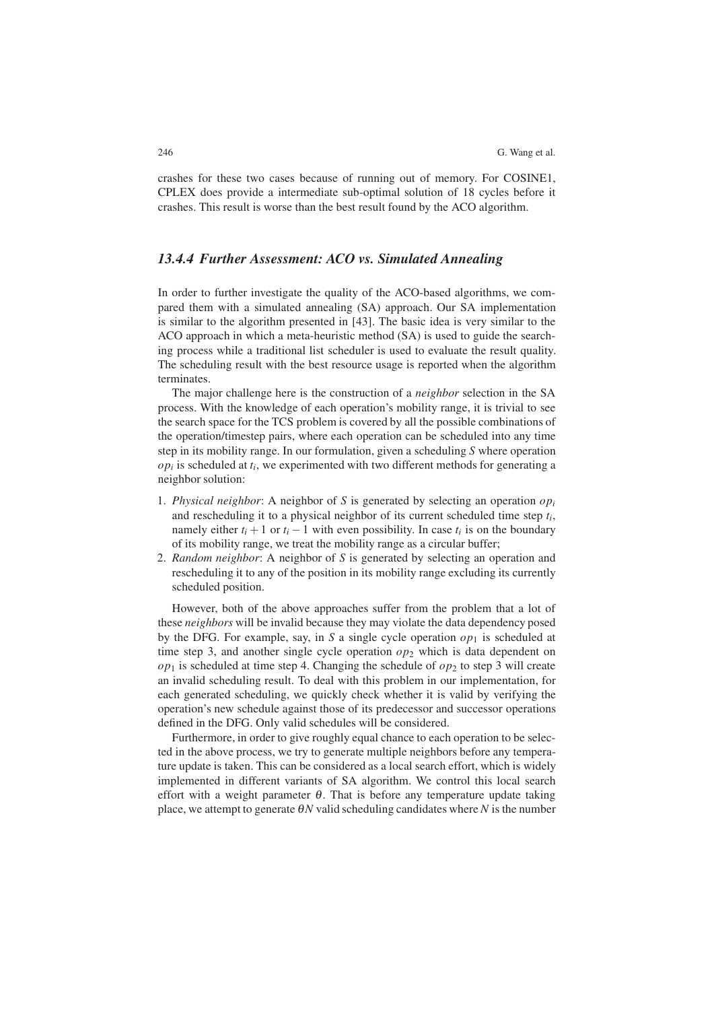crashes for these two cases because of running out of memory. For COSINE1, CPLEX does provide a intermediate sub-optimal solution of 18 cycles before it crashes. This result is worse than the best result found by the ACO algorithm.

#### *13.4.4 Further Assessment: ACO vs. Simulated Annealing*

In order to further investigate the quality of the ACO-based algorithms, we compared them with a simulated annealing (SA) approach. Our SA implementation is similar to the algorithm presented in [43]. The basic idea is very similar to the ACO approach in which a meta-heuristic method (SA) is used to guide the searching process while a traditional list scheduler is used to evaluate the result quality. The scheduling result with the best resource usage is reported when the algorithm terminates.

The major challenge here is the construction of a *neighbor* selection in the SA process. With the knowledge of each operation's mobility range, it is trivial to see the search space for the TCS problem is covered by all the possible combinations of the operation/timestep pairs, where each operation can be scheduled into any time step in its mobility range. In our formulation, given a scheduling *S* where operation  $op<sub>i</sub>$  is scheduled at  $t<sub>i</sub>$ , we experimented with two different methods for generating a neighbor solution:

- 1. *Physical neighbor*: A neighbor of *S* is generated by selecting an operation *opi* and rescheduling it to a physical neighbor of its current scheduled time step *ti*, namely either  $t_i + 1$  or  $t_i - 1$  with even possibility. In case  $t_i$  is on the boundary of its mobility range, we treat the mobility range as a circular buffer;
- 2. *Random neighbor*: A neighbor of *S* is generated by selecting an operation and rescheduling it to any of the position in its mobility range excluding its currently scheduled position.

However, both of the above approaches suffer from the problem that a lot of these *neighbors* will be invalid because they may violate the data dependency posed by the DFG. For example, say, in *S* a single cycle operation  $op_1$  is scheduled at time step 3, and another single cycle operation  $op<sub>2</sub>$  which is data dependent on  $op<sub>1</sub>$  is scheduled at time step 4. Changing the schedule of  $op<sub>2</sub>$  to step 3 will create an invalid scheduling result. To deal with this problem in our implementation, for each generated scheduling, we quickly check whether it is valid by verifying the operation's new schedule against those of its predecessor and successor operations defined in the DFG. Only valid schedules will be considered.

Furthermore, in order to give roughly equal chance to each operation to be selected in the above process, we try to generate multiple neighbors before any temperature update is taken. This can be considered as a local search effort, which is widely implemented in different variants of SA algorithm. We control this local search effort with a weight parameter  $\theta$ . That is before any temperature update taking place, we attempt to generate  $\theta N$  valid scheduling candidates where *N* is the number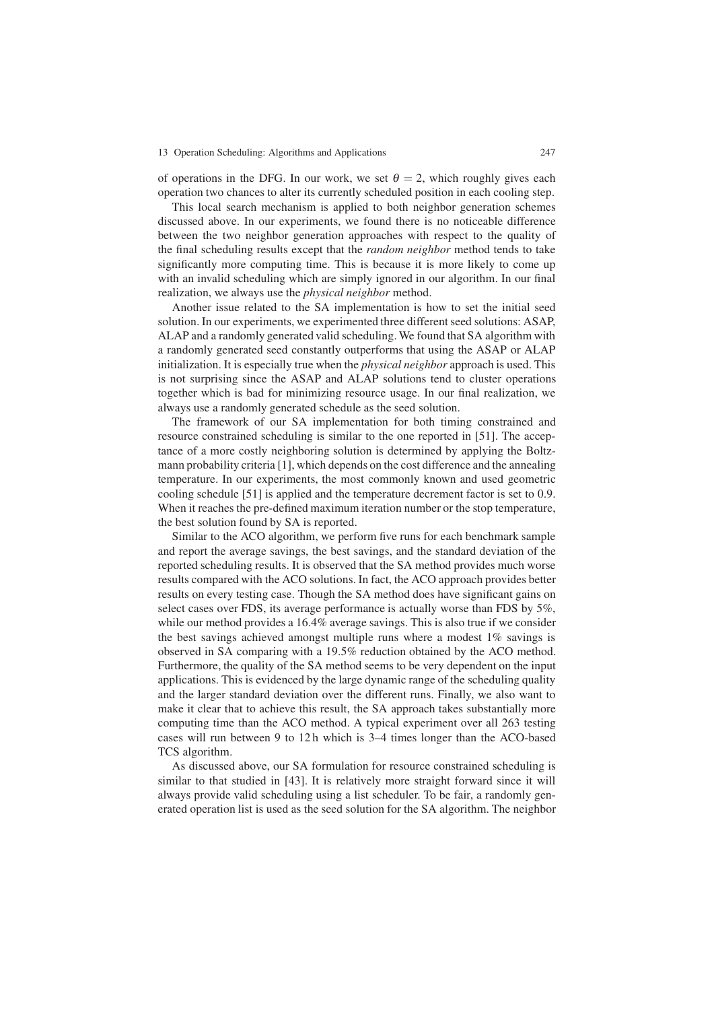of operations in the DFG. In our work, we set  $\theta = 2$ , which roughly gives each operation two chances to alter its currently scheduled position in each cooling step.

This local search mechanism is applied to both neighbor generation schemes discussed above. In our experiments, we found there is no noticeable difference between the two neighbor generation approaches with respect to the quality of the final scheduling results except that the *random neighbor* method tends to take significantly more computing time. This is because it is more likely to come up with an invalid scheduling which are simply ignored in our algorithm. In our final realization, we always use the *physical neighbor* method.

Another issue related to the SA implementation is how to set the initial seed solution. In our experiments, we experimented three different seed solutions: ASAP, ALAP and a randomly generated valid scheduling. We found that SA algorithm with a randomly generated seed constantly outperforms that using the ASAP or ALAP initialization. It is especially true when the *physical neighbor* approach is used. This is not surprising since the ASAP and ALAP solutions tend to cluster operations together which is bad for minimizing resource usage. In our final realization, we always use a randomly generated schedule as the seed solution.

The framework of our SA implementation for both timing constrained and resource constrained scheduling is similar to the one reported in [51]. The acceptance of a more costly neighboring solution is determined by applying the Boltzmann probability criteria [1], which depends on the cost difference and the annealing temperature. In our experiments, the most commonly known and used geometric cooling schedule [51] is applied and the temperature decrement factor is set to 0.9. When it reaches the pre-defined maximum iteration number or the stop temperature, the best solution found by SA is reported.

Similar to the ACO algorithm, we perform five runs for each benchmark sample and report the average savings, the best savings, and the standard deviation of the reported scheduling results. It is observed that the SA method provides much worse results compared with the ACO solutions. In fact, the ACO approach provides better results on every testing case. Though the SA method does have significant gains on select cases over FDS, its average performance is actually worse than FDS by 5%, while our method provides a 16.4% average savings. This is also true if we consider the best savings achieved amongst multiple runs where a modest 1% savings is observed in SA comparing with a 19.5% reduction obtained by the ACO method. Furthermore, the quality of the SA method seems to be very dependent on the input applications. This is evidenced by the large dynamic range of the scheduling quality and the larger standard deviation over the different runs. Finally, we also want to make it clear that to achieve this result, the SA approach takes substantially more computing time than the ACO method. A typical experiment over all 263 testing cases will run between 9 to 12 h which is 3–4 times longer than the ACO-based TCS algorithm.

As discussed above, our SA formulation for resource constrained scheduling is similar to that studied in [43]. It is relatively more straight forward since it will always provide valid scheduling using a list scheduler. To be fair, a randomly generated operation list is used as the seed solution for the SA algorithm. The neighbor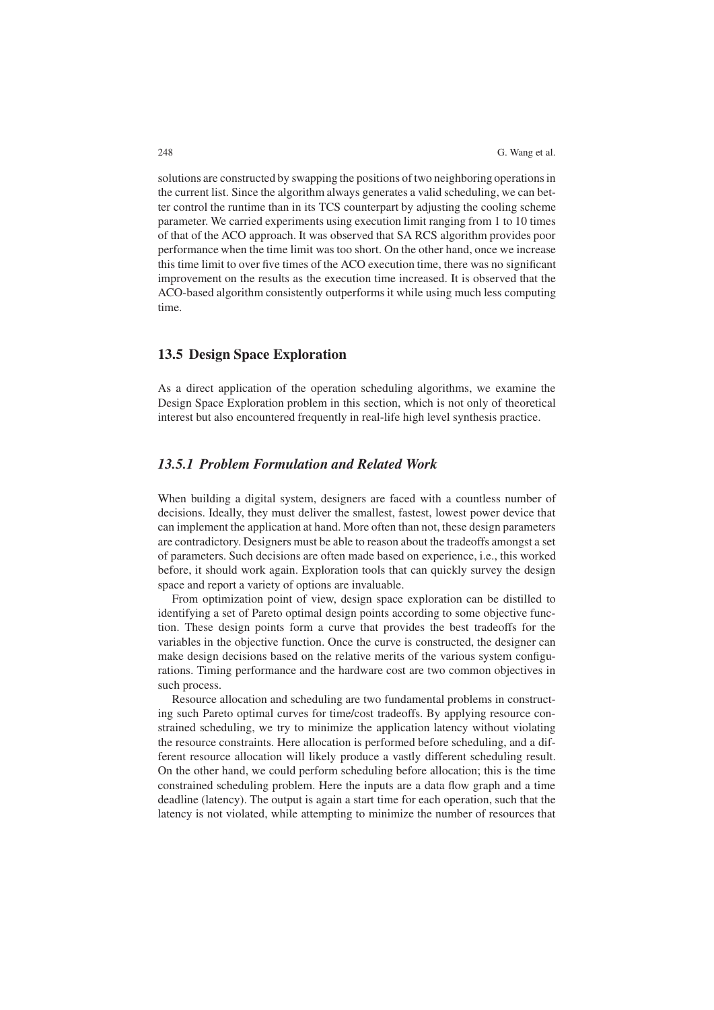solutions are constructed by swapping the positions of two neighboring operations in the current list. Since the algorithm always generates a valid scheduling, we can better control the runtime than in its TCS counterpart by adjusting the cooling scheme parameter. We carried experiments using execution limit ranging from 1 to 10 times of that of the ACO approach. It was observed that SA RCS algorithm provides poor performance when the time limit was too short. On the other hand, once we increase this time limit to over five times of the ACO execution time, there was no significant improvement on the results as the execution time increased. It is observed that the ACO-based algorithm consistently outperforms it while using much less computing time.

#### **13.5 Design Space Exploration**

As a direct application of the operation scheduling algorithms, we examine the Design Space Exploration problem in this section, which is not only of theoretical interest but also encountered frequently in real-life high level synthesis practice.

#### *13.5.1 Problem Formulation and Related Work*

When building a digital system, designers are faced with a countless number of decisions. Ideally, they must deliver the smallest, fastest, lowest power device that can implement the application at hand. More often than not, these design parameters are contradictory. Designers must be able to reason about the tradeoffs amongst a set of parameters. Such decisions are often made based on experience, i.e., this worked before, it should work again. Exploration tools that can quickly survey the design space and report a variety of options are invaluable.

From optimization point of view, design space exploration can be distilled to identifying a set of Pareto optimal design points according to some objective function. These design points form a curve that provides the best tradeoffs for the variables in the objective function. Once the curve is constructed, the designer can make design decisions based on the relative merits of the various system configurations. Timing performance and the hardware cost are two common objectives in such process.

Resource allocation and scheduling are two fundamental problems in constructing such Pareto optimal curves for time/cost tradeoffs. By applying resource constrained scheduling, we try to minimize the application latency without violating the resource constraints. Here allocation is performed before scheduling, and a different resource allocation will likely produce a vastly different scheduling result. On the other hand, we could perform scheduling before allocation; this is the time constrained scheduling problem. Here the inputs are a data flow graph and a time deadline (latency). The output is again a start time for each operation, such that the latency is not violated, while attempting to minimize the number of resources that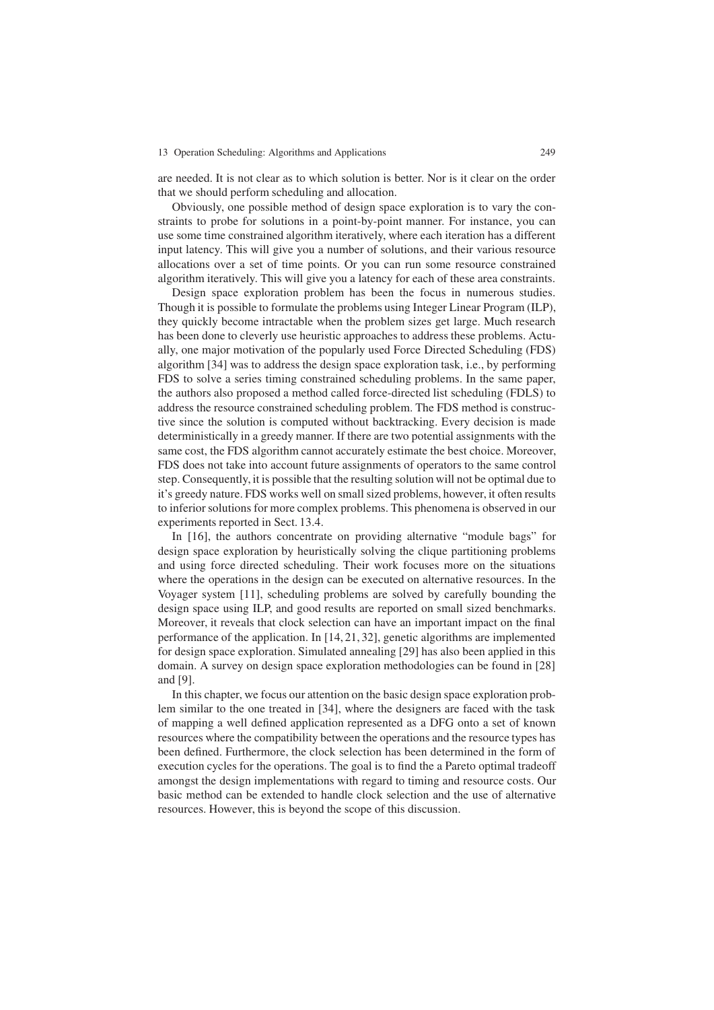are needed. It is not clear as to which solution is better. Nor is it clear on the order that we should perform scheduling and allocation.

Obviously, one possible method of design space exploration is to vary the constraints to probe for solutions in a point-by-point manner. For instance, you can use some time constrained algorithm iteratively, where each iteration has a different input latency. This will give you a number of solutions, and their various resource allocations over a set of time points. Or you can run some resource constrained algorithm iteratively. This will give you a latency for each of these area constraints.

Design space exploration problem has been the focus in numerous studies. Though it is possible to formulate the problems using Integer Linear Program (ILP), they quickly become intractable when the problem sizes get large. Much research has been done to cleverly use heuristic approaches to address these problems. Actually, one major motivation of the popularly used Force Directed Scheduling (FDS) algorithm [34] was to address the design space exploration task, i.e., by performing FDS to solve a series timing constrained scheduling problems. In the same paper, the authors also proposed a method called force-directed list scheduling (FDLS) to address the resource constrained scheduling problem. The FDS method is constructive since the solution is computed without backtracking. Every decision is made deterministically in a greedy manner. If there are two potential assignments with the same cost, the FDS algorithm cannot accurately estimate the best choice. Moreover, FDS does not take into account future assignments of operators to the same control step. Consequently, it is possible that the resulting solution will not be optimal due to it's greedy nature. FDS works well on small sized problems, however, it often results to inferior solutions for more complex problems. This phenomena is observed in our experiments reported in Sect. 13.4.

In [16], the authors concentrate on providing alternative "module bags" for design space exploration by heuristically solving the clique partitioning problems and using force directed scheduling. Their work focuses more on the situations where the operations in the design can be executed on alternative resources. In the Voyager system [11], scheduling problems are solved by carefully bounding the design space using ILP, and good results are reported on small sized benchmarks. Moreover, it reveals that clock selection can have an important impact on the final performance of the application. In [14, 21, 32], genetic algorithms are implemented for design space exploration. Simulated annealing [29] has also been applied in this domain. A survey on design space exploration methodologies can be found in [28] and [9].

In this chapter, we focus our attention on the basic design space exploration problem similar to the one treated in [34], where the designers are faced with the task of mapping a well defined application represented as a DFG onto a set of known resources where the compatibility between the operations and the resource types has been defined. Furthermore, the clock selection has been determined in the form of execution cycles for the operations. The goal is to find the a Pareto optimal tradeoff amongst the design implementations with regard to timing and resource costs. Our basic method can be extended to handle clock selection and the use of alternative resources. However, this is beyond the scope of this discussion.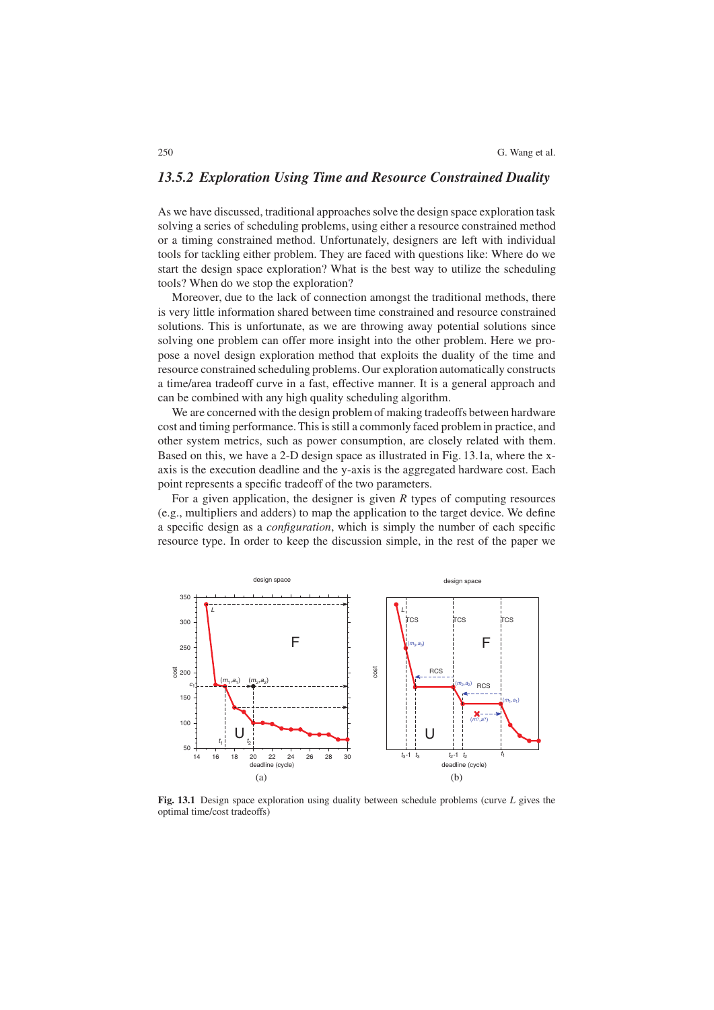#### *13.5.2 Exploration Using Time and Resource Constrained Duality*

As we have discussed, traditional approaches solve the design space exploration task solving a series of scheduling problems, using either a resource constrained method or a timing constrained method. Unfortunately, designers are left with individual tools for tackling either problem. They are faced with questions like: Where do we start the design space exploration? What is the best way to utilize the scheduling tools? When do we stop the exploration?

Moreover, due to the lack of connection amongst the traditional methods, there is very little information shared between time constrained and resource constrained solutions. This is unfortunate, as we are throwing away potential solutions since solving one problem can offer more insight into the other problem. Here we propose a novel design exploration method that exploits the duality of the time and resource constrained scheduling problems. Our exploration automatically constructs a time/area tradeoff curve in a fast, effective manner. It is a general approach and can be combined with any high quality scheduling algorithm.

We are concerned with the design problemof making tradeoffs between hardware cost and timing performance. This is still a commonly faced problem in practice, and other system metrics, such as power consumption, are closely related with them. Based on this, we have a 2-D design space as illustrated in Fig. 13.1a, where the xaxis is the execution deadline and the y-axis is the aggregated hardware cost. Each point represents a specific tradeoff of the two parameters.

For a given application, the designer is given *R* types of computing resources (e.g., multipliers and adders) to map the application to the target device. We define a specific design as a *configuration*, which is simply the number of each specific resource type. In order to keep the discussion simple, in the rest of the paper we



**Fig. 13.1** Design space exploration using duality between schedule problems (curve *L* gives the optimal time/cost tradeoffs)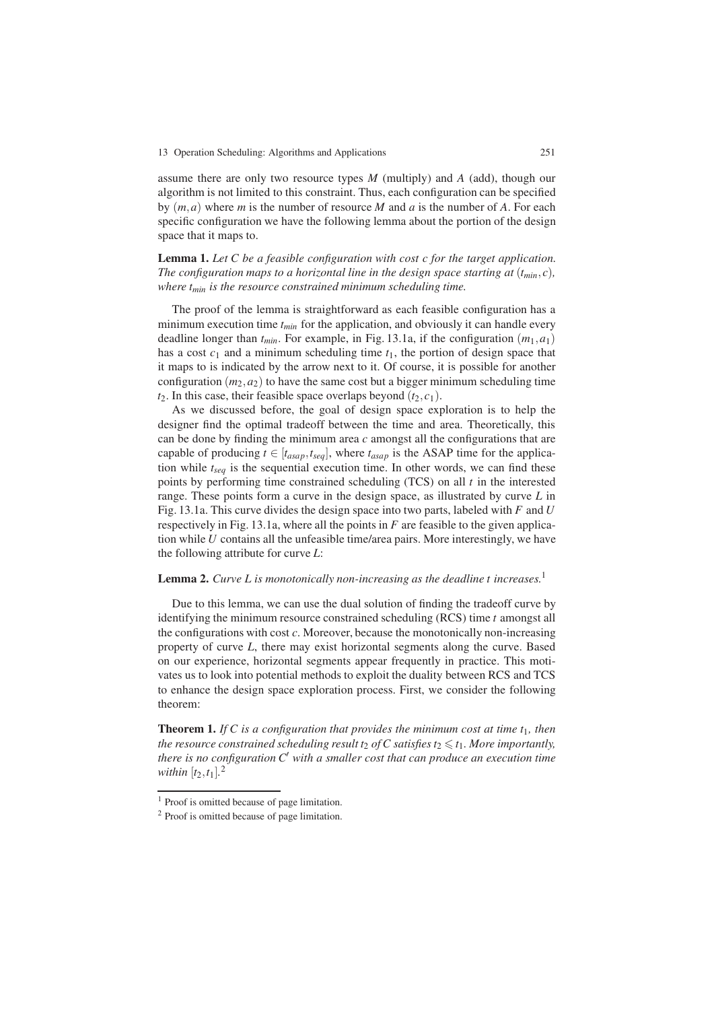assume there are only two resource types *M* (multiply) and *A* (add), though our algorithm is not limited to this constraint. Thus, each configuration can be specified by (*m*,*a*) where *m* is the number of resource *M* and *a* is the number of *A*. For each specific configuration we have the following lemma about the portion of the design space that it maps to.

**Lemma 1.** *Let C be a feasible configuration with cost c for the target application. The configuration maps to a horizontal line in the design space starting at*  $(t_{min}, c)$ *, where tmin is the resource constrained minimum scheduling time.*

The proof of the lemma is straightforward as each feasible configuration has a minimum execution time *tmin* for the application, and obviously it can handle every deadline longer than  $t_{min}$ . For example, in Fig. 13.1a, if the configuration  $(m_1, a_1)$ has a cost  $c_1$  and a minimum scheduling time  $t_1$ , the portion of design space that it maps to is indicated by the arrow next to it. Of course, it is possible for another configuration  $(m_2, a_2)$  to have the same cost but a bigger minimum scheduling time  $t_2$ . In this case, their feasible space overlaps beyond  $(t_2, c_1)$ .

As we discussed before, the goal of design space exploration is to help the designer find the optimal tradeoff between the time and area. Theoretically, this can be done by finding the minimum area *c* amongst all the configurations that are capable of producing  $t \in [t_{asap}, t_{seq}]$ , where  $t_{asap}$  is the ASAP time for the application while *tseq* is the sequential execution time. In other words, we can find these points by performing time constrained scheduling (TCS) on all *t* in the interested range. These points form a curve in the design space, as illustrated by curve *L* in Fig. 13.1a. This curve divides the design space into two parts, labeled with *F* and *U* respectively in Fig. 13.1a, where all the points in *F* are feasible to the given application while *U* contains all the unfeasible time/area pairs. More interestingly, we have the following attribute for curve *L*:

#### **Lemma 2.** *Curve L is monotonically non-increasing as the deadline t increases.*<sup>1</sup>

Due to this lemma, we can use the dual solution of finding the tradeoff curve by identifying the minimum resource constrained scheduling (RCS) time *t* amongst all the configurations with cost *c*. Moreover, because the monotonically non-increasing property of curve *L*, there may exist horizontal segments along the curve. Based on our experience, horizontal segments appear frequently in practice. This motivates us to look into potential methods to exploit the duality between RCS and TCS to enhance the design space exploration process. First, we consider the following theorem:

**Theorem 1.** *If* C is a configuration that provides the minimum cost at time  $t_1$ , then *the resource constrained scheduling result*  $t_2$  *of C satisfies*  $t_2 \leq t_1$ *. More importantly, there is no configuration*  $C'$  *with a smaller cost that can produce an execution time within*  $[t_2, t_1]$ .<sup>2</sup>

<sup>&</sup>lt;sup>1</sup> Proof is omitted because of page limitation.

<sup>2</sup> Proof is omitted because of page limitation.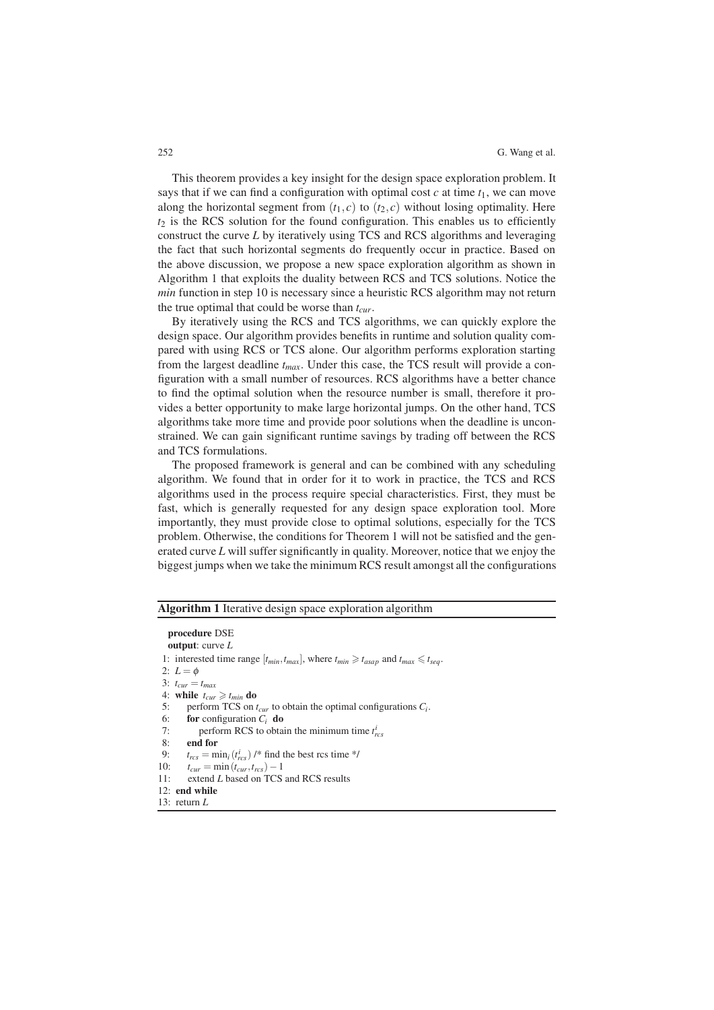This theorem provides a key insight for the design space exploration problem. It says that if we can find a configuration with optimal cost *c* at time *t*1, we can move along the horizontal segment from  $(t_1, c)$  to  $(t_2, c)$  without losing optimality. Here  $t_2$  is the RCS solution for the found configuration. This enables us to efficiently construct the curve *L* by iteratively using TCS and RCS algorithms and leveraging the fact that such horizontal segments do frequently occur in practice. Based on the above discussion, we propose a new space exploration algorithm as shown in Algorithm 1 that exploits the duality between RCS and TCS solutions. Notice the *min* function in step 10 is necessary since a heuristic RCS algorithm may not return the true optimal that could be worse than  $t_{cur}$ .

By iteratively using the RCS and TCS algorithms, we can quickly explore the design space. Our algorithm provides benefits in runtime and solution quality compared with using RCS or TCS alone. Our algorithm performs exploration starting from the largest deadline *tmax*. Under this case, the TCS result will provide a configuration with a small number of resources. RCS algorithms have a better chance to find the optimal solution when the resource number is small, therefore it provides a better opportunity to make large horizontal jumps. On the other hand, TCS algorithms take more time and provide poor solutions when the deadline is unconstrained. We can gain significant runtime savings by trading off between the RCS and TCS formulations.

The proposed framework is general and can be combined with any scheduling algorithm. We found that in order for it to work in practice, the TCS and RCS algorithms used in the process require special characteristics. First, they must be fast, which is generally requested for any design space exploration tool. More importantly, they must provide close to optimal solutions, especially for the TCS problem. Otherwise, the conditions for Theorem 1 will not be satisfied and the generated curve *L* will suffer significantly in quality. Moreover, notice that we enjoy the biggest jumps when we take the minimum RCS result amongst all the configurations

#### **Algorithm 1** Iterative design space exploration algorithm

**procedure** DSE **output**: curve *L* 1: interested time range  $[t_{min}, t_{max}]$ , where  $t_{min} \geq t_{asap}$  and  $t_{max} \leq t_{seg}$ . 2:  $L = \phi$ 3:  $t_{cur} = t_{max}$ 4: **while**  $t_{cur} \geq t_{min}$  **do** 5: perform TCS on  $t_{cur}$  to obtain the optimal configurations  $C_i$ . 6: **for** configuration  $C_i$  **do** 7: perform RCS to obtain the minimum time  $t_{rcs}$ 8: **end for** 9:  $t_{res} = \min_i (t_{res}^i)$  /\* find the best rcs time \*/ 10:  $t_{cur} = \min(t_{cur}, t_{rcs}) - 1$ <br>11: extend *L* based on TCS extend *L* based on TCS and RCS results 12: **end while** 13: return *L*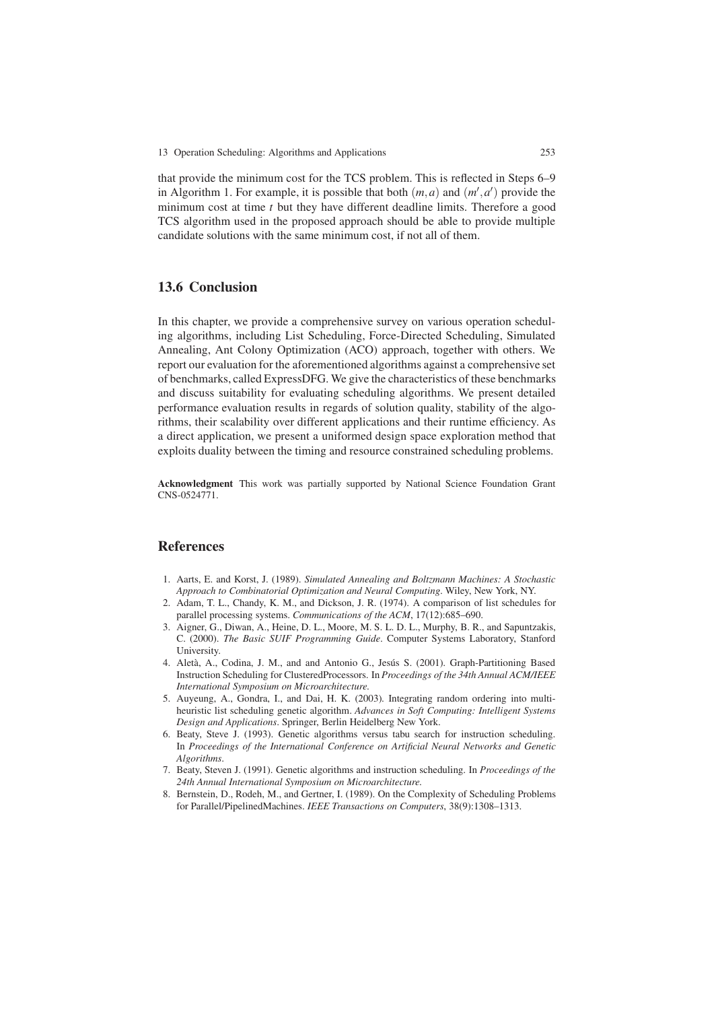that provide the minimum cost for the TCS problem. This is reflected in Steps 6–9 in Algorithm 1. For example, it is possible that both  $(m, a)$  and  $(m', a')$  provide the minimum cost at time *t* but they have different deadline limits. Therefore a good TCS algorithm used in the proposed approach should be able to provide multiple candidate solutions with the same minimum cost, if not all of them.

#### **13.6 Conclusion**

In this chapter, we provide a comprehensive survey on various operation scheduling algorithms, including List Scheduling, Force-Directed Scheduling, Simulated Annealing, Ant Colony Optimization (ACO) approach, together with others. We report our evaluation for the aforementioned algorithms against a comprehensive set of benchmarks, called ExpressDFG. We give the characteristics of these benchmarks and discuss suitability for evaluating scheduling algorithms. We present detailed performance evaluation results in regards of solution quality, stability of the algorithms, their scalability over different applications and their runtime efficiency. As a direct application, we present a uniformed design space exploration method that exploits duality between the timing and resource constrained scheduling problems.

**Acknowledgment** This work was partially supported by National Science Foundation Grant CNS-0524771.

#### **References**

- 1. Aarts, E. and Korst, J. (1989). *Simulated Annealing and Boltzmann Machines: A Stochastic Approach to Combinatorial Optimization and Neural Computing*. Wiley, New York, NY.
- 2. Adam, T. L., Chandy, K. M., and Dickson, J. R. (1974). A comparison of list schedules for parallel processing systems. *Communications of the ACM*, 17(12):685–690.
- 3. Aigner, G., Diwan, A., Heine, D. L., Moore, M. S. L. D. L., Murphy, B. R., and Sapuntzakis, C. (2000). *The Basic SUIF Programming Guide*. Computer Systems Laboratory, Stanford University.
- 4. Aletà, A., Codina, J. M., and and Antonio G., Jesús S. (2001). Graph-Partitioning Based Instruction Scheduling for ClusteredProcessors. In *Proceedings of the 34th Annual ACM/IEEE International Symposium on Microarchitecture*.
- 5. Auyeung, A., Gondra, I., and Dai, H. K. (2003). Integrating random ordering into multiheuristic list scheduling genetic algorithm. *Advances in Soft Computing: Intelligent Systems Design and Applications*. Springer, Berlin Heidelberg New York.
- 6. Beaty, Steve J. (1993). Genetic algorithms versus tabu search for instruction scheduling. In *Proceedings of the International Conference on Artificial Neural Networks and Genetic Algorithms*.
- 7. Beaty, Steven J. (1991). Genetic algorithms and instruction scheduling. In *Proceedings of the 24th Annual International Symposium on Microarchitecture*.
- 8. Bernstein, D., Rodeh, M., and Gertner, I. (1989). On the Complexity of Scheduling Problems for Parallel/PipelinedMachines. *IEEE Transactions on Computers*, 38(9):1308–1313.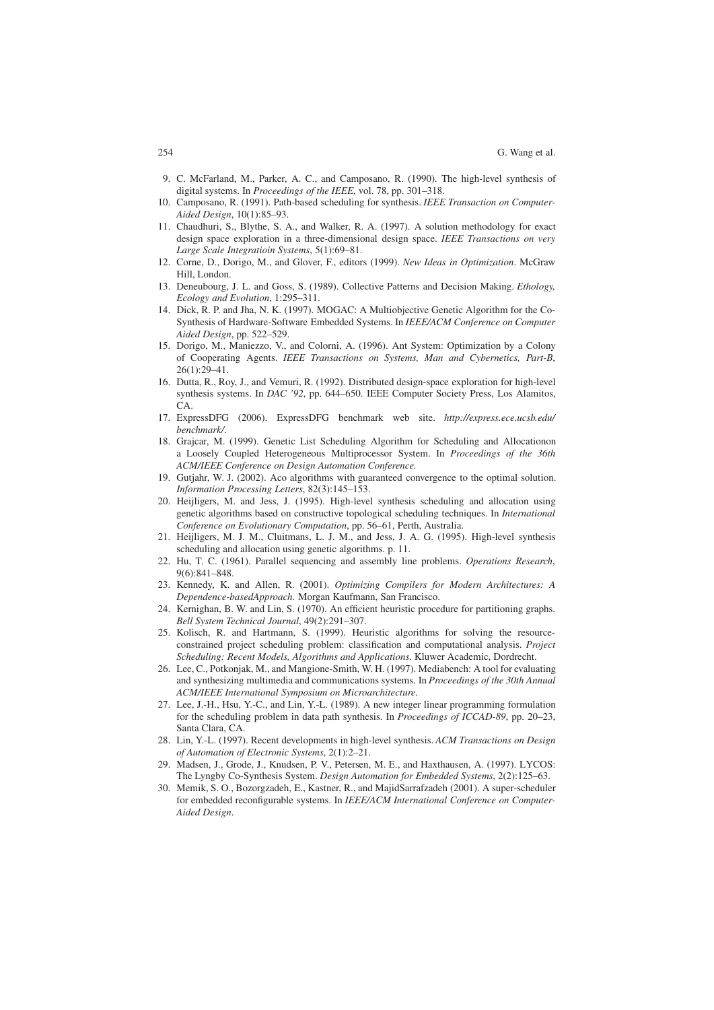- 9. C. McFarland, M., Parker, A. C., and Camposano, R. (1990). The high-level synthesis of digital systems. In *Proceedings of the IEEE*, vol. 78, pp. 301–318.
- 10. Camposano, R. (1991). Path-based scheduling for synthesis. *IEEE Transaction on Computer-Aided Design*, 10(1):85–93.
- 11. Chaudhuri, S., Blythe, S. A., and Walker, R. A. (1997). A solution methodology for exact design space exploration in a three-dimensional design space. *IEEE Transactions on very Large Scale Integratioin Systems*, 5(1):69–81.
- 12. Corne, D., Dorigo, M., and Glover, F., editors (1999). *New Ideas in Optimization*. McGraw Hill, London.
- 13. Deneubourg, J. L. and Goss, S. (1989). Collective Patterns and Decision Making. *Ethology, Ecology and Evolution*, 1:295–311.
- 14. Dick, R. P. and Jha, N. K. (1997). MOGAC: A Multiobjective Genetic Algorithm for the Co-Synthesis of Hardware-Software Embedded Systems. In *IEEE/ACM Conference on Computer Aided Design*, pp. 522–529.
- 15. Dorigo, M., Maniezzo, V., and Colorni, A. (1996). Ant System: Optimization by a Colony of Cooperating Agents. *IEEE Transactions on Systems, Man and Cybernetics, Part-B*, 26(1):29–41.
- 16. Dutta, R., Roy, J., and Vemuri, R. (1992). Distributed design-space exploration for high-level synthesis systems. In *DAC '92*, pp. 644–650. IEEE Computer Society Press, Los Alamitos, CA.
- 17. ExpressDFG (2006). ExpressDFG benchmark web site. *http://express.ece.ucsb.edu/ benchmark/*.
- 18. Grajcar, M. (1999). Genetic List Scheduling Algorithm for Scheduling and Allocationon a Loosely Coupled Heterogeneous Multiprocessor System. In *Proceedings of the 36th ACM/IEEE Conference on Design Automation Conference*.
- 19. Gutjahr, W. J. (2002). Aco algorithms with guaranteed convergence to the optimal solution. *Information Processing Letters*, 82(3):145–153.
- 20. Heijligers, M. and Jess, J. (1995). High-level synthesis scheduling and allocation using genetic algorithms based on constructive topological scheduling techniques. In *International Conference on Evolutionary Computation*, pp. 56–61, Perth, Australia.
- 21. Heijligers, M. J. M., Cluitmans, L. J. M., and Jess, J. A. G. (1995). High-level synthesis scheduling and allocation using genetic algorithms. p. 11.
- 22. Hu, T. C. (1961). Parallel sequencing and assembly line problems. *Operations Research*, 9(6):841–848.
- 23. Kennedy, K. and Allen, R. (2001). *Optimizing Compilers for Modern Architectures: A Dependence-basedApproach*. Morgan Kaufmann, San Francisco.
- 24. Kernighan, B. W. and Lin, S. (1970). An efficient heuristic procedure for partitioning graphs. *Bell System Technical Journal*, 49(2):291–307.
- 25. Kolisch, R. and Hartmann, S. (1999). Heuristic algorithms for solving the resourceconstrained project scheduling problem: classification and computational analysis. *Project Scheduling: Recent Models, Algorithms and Applications*. Kluwer Academic, Dordrecht.
- 26. Lee, C., Potkonjak, M., and Mangione-Smith, W. H. (1997). Mediabench: A tool for evaluating and synthesizing multimedia and communications systems. In *Proceedings of the 30th Annual ACM/IEEE International Symposium on Microarchitecture*.
- 27. Lee, J.-H., Hsu, Y.-C., and Lin, Y.-L. (1989). A new integer linear programming formulation for the scheduling problem in data path synthesis. In *Proceedings of ICCAD-89*, pp. 20–23, Santa Clara, CA.
- 28. Lin, Y.-L. (1997). Recent developments in high-level synthesis. *ACM Transactions on Design of Automation of Electronic Systems*, 2(1):2–21.
- 29. Madsen, J., Grode, J., Knudsen, P. V., Petersen, M. E., and Haxthausen, A. (1997). LYCOS: The Lyngby Co-Synthesis System. *Design Automation for Embedded Systems*, 2(2):125–63.
- 30. Memik, S. O., Bozorgzadeh, E., Kastner, R., and MajidSarrafzadeh (2001). A super-scheduler for embedded reconfigurable systems. In *IEEE/ACM International Conference on Computer-Aided Design*.